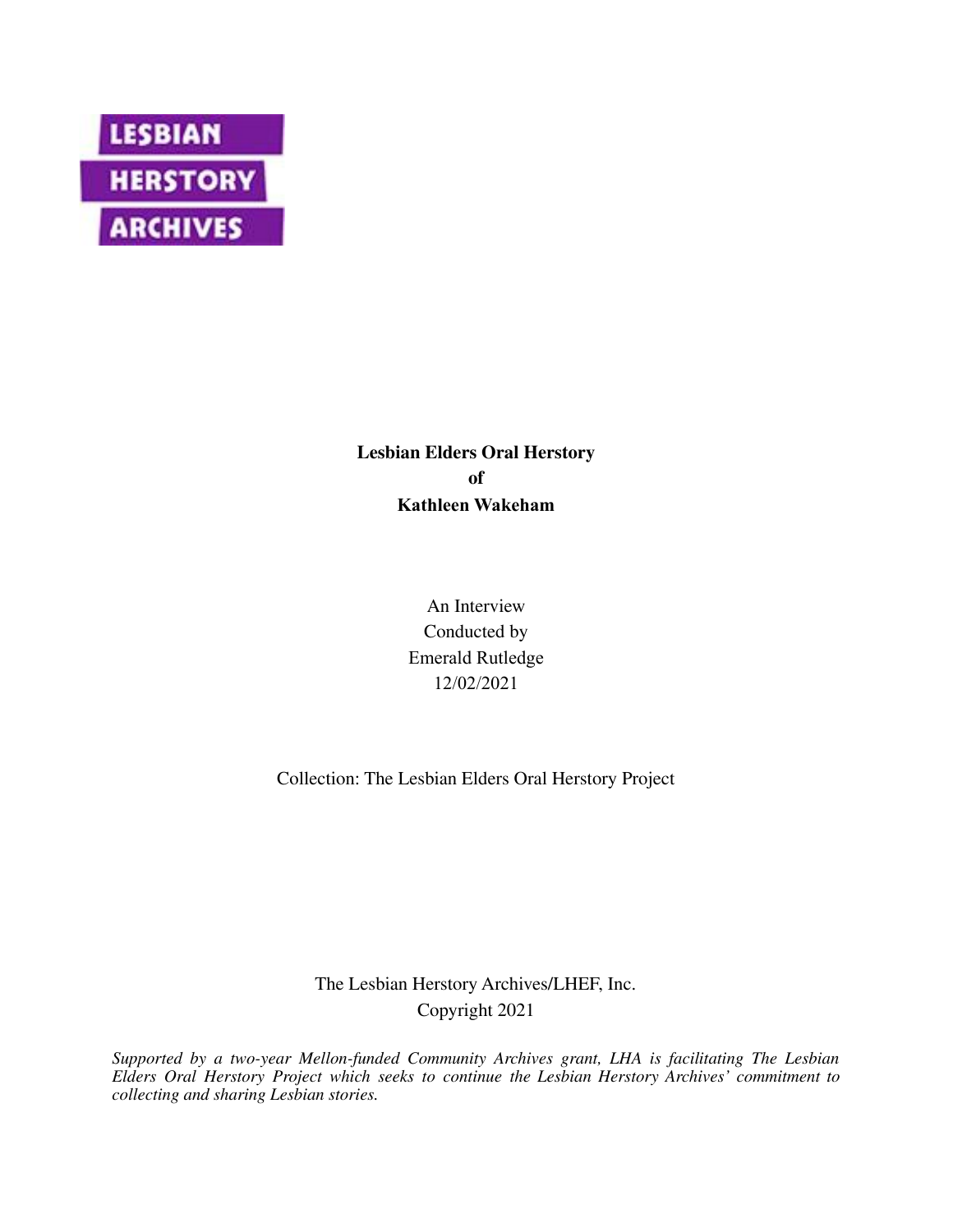

**Lesbian Elders Oral Herstory of Kathleen Wakeham**

> An Interview Conducted by Emerald Rutledge 12/02/2021

Collection: The Lesbian Elders Oral Herstory Project

The Lesbian Herstory Archives/LHEF, Inc. Copyright 2021

*Supported by a two-year Mellon-funded Community Archives grant, LHA is facilitating The Lesbian Elders Oral Herstory Project which seeks to continue the Lesbian Herstory Archives' commitment to collecting and sharing Lesbian stories.*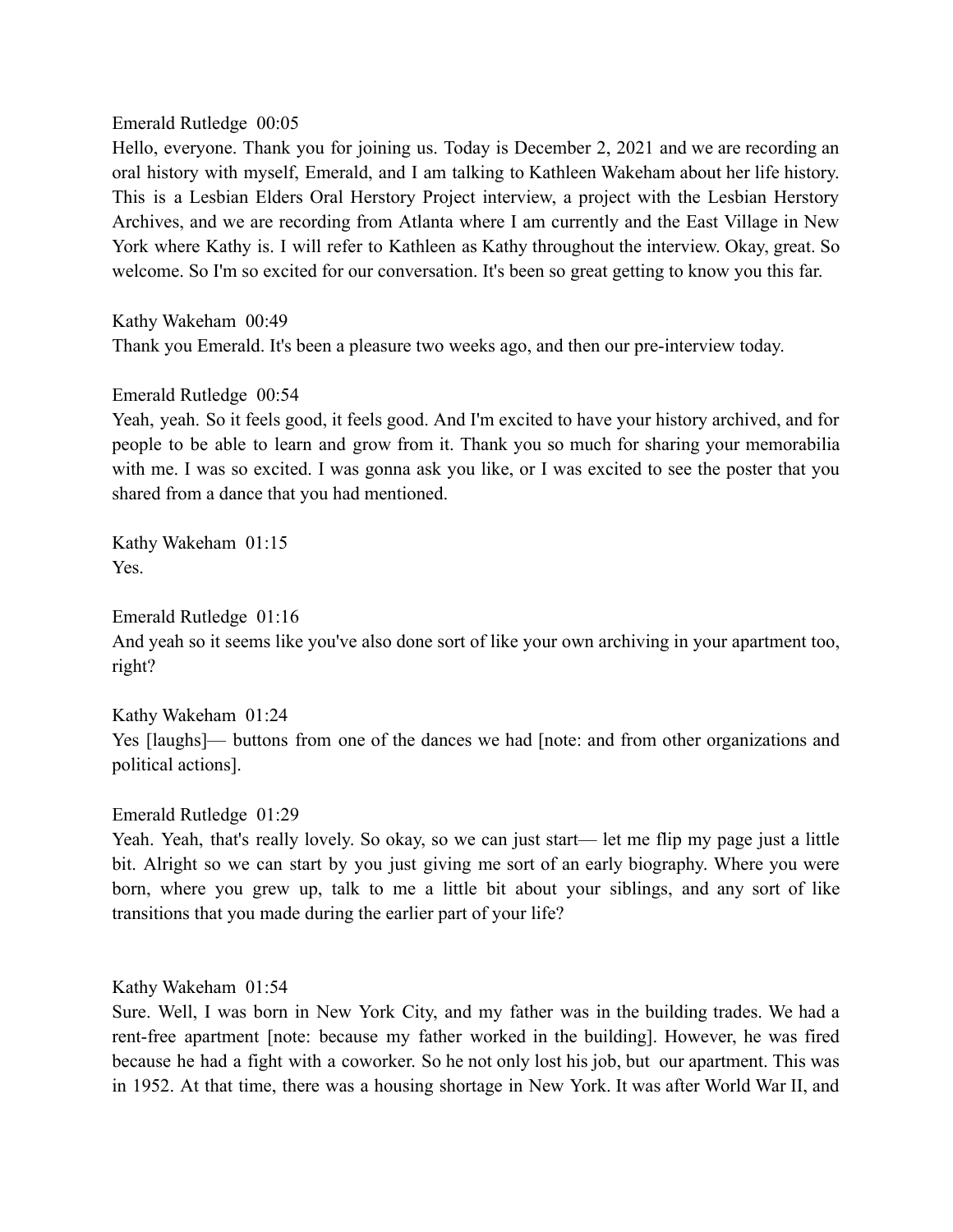## Emerald Rutledge 00:05

Hello, everyone. Thank you for joining us. Today is December 2, 2021 and we are recording an oral history with myself, Emerald, and I am talking to Kathleen Wakeham about her life history. This is a Lesbian Elders Oral Herstory Project interview, a project with the Lesbian Herstory Archives, and we are recording from Atlanta where I am currently and the East Village in New York where Kathy is. I will refer to Kathleen as Kathy throughout the interview. Okay, great. So welcome. So I'm so excited for our conversation. It's been so great getting to know you this far.

Kathy Wakeham 00:49

Thank you Emerald. It's been a pleasure two weeks ago, and then our pre-interview today.

Emerald Rutledge 00:54

Yeah, yeah. So it feels good, it feels good. And I'm excited to have your history archived, and for people to be able to learn and grow from it. Thank you so much for sharing your memorabilia with me. I was so excited. I was gonna ask you like, or I was excited to see the poster that you shared from a dance that you had mentioned.

Kathy Wakeham 01:15 Yes.

Emerald Rutledge 01:16 And yeah so it seems like you've also done sort of like your own archiving in your apartment too, right?

Kathy Wakeham 01:24 Yes [laughs]— buttons from one of the dances we had [note: and from other organizations and political actions].

Emerald Rutledge 01:29

Yeah. Yeah, that's really lovely. So okay, so we can just start— let me flip my page just a little bit. Alright so we can start by you just giving me sort of an early biography. Where you were born, where you grew up, talk to me a little bit about your siblings, and any sort of like transitions that you made during the earlier part of your life?

Kathy Wakeham 01:54

Sure. Well, I was born in New York City, and my father was in the building trades. We had a rent-free apartment [note: because my father worked in the building]. However, he was fired because he had a fight with a coworker. So he not only lost his job, but our apartment. This was in 1952. At that time, there was a housing shortage in New York. It was after World War II, and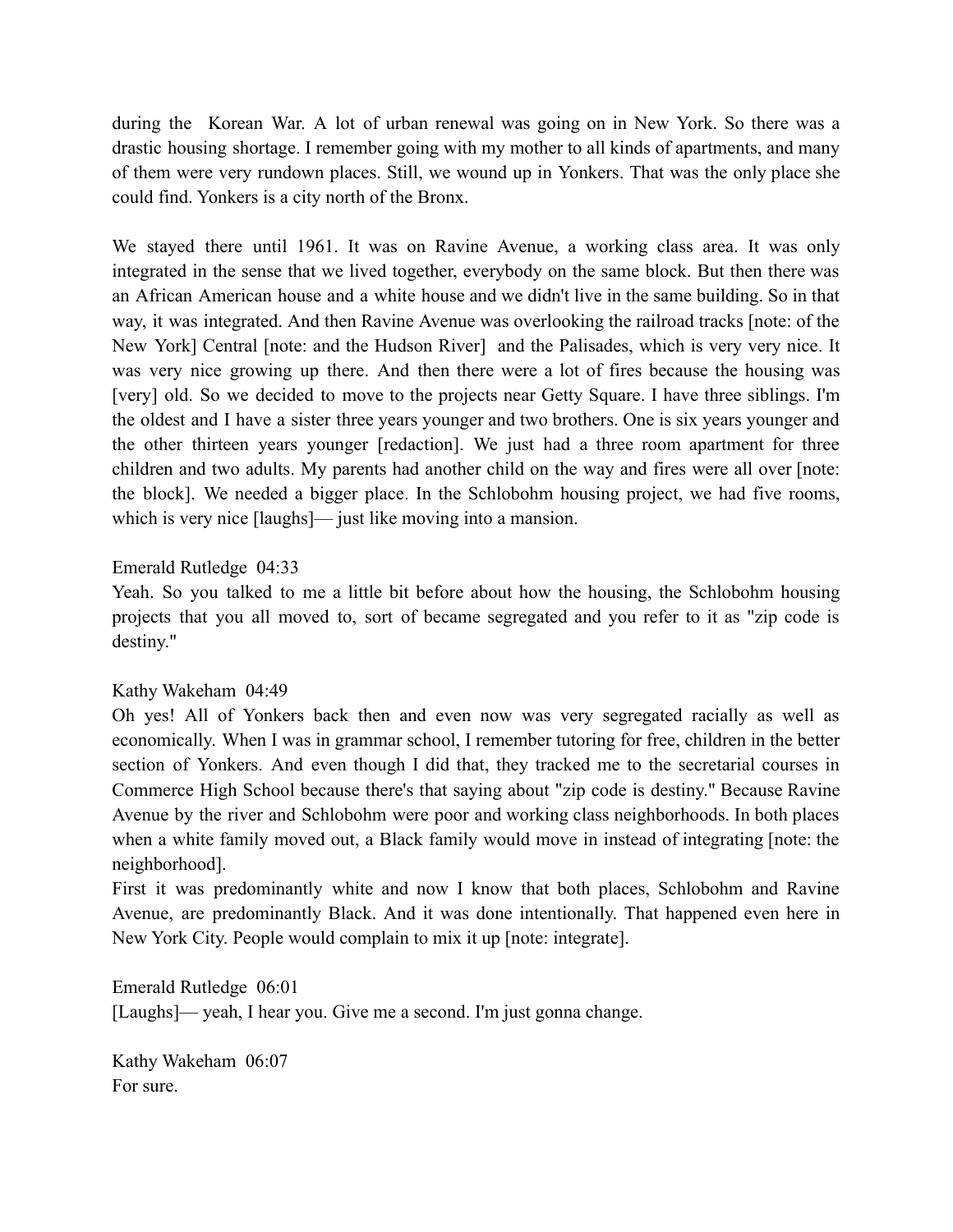during the Korean War. A lot of urban renewal was going on in New York. So there was a drastic housing shortage. I remember going with my mother to all kinds of apartments, and many of them were very rundown places. Still, we wound up in Yonkers. That was the only place she could find. Yonkers is a city north of the Bronx.

We stayed there until 1961. It was on Ravine Avenue, a working class area. It was only integrated in the sense that we lived together, everybody on the same block. But then there was an African American house and a white house and we didn't live in the same building. So in that way, it was integrated. And then Ravine Avenue was overlooking the railroad tracks [note: of the New York] Central [note: and the Hudson River] and the Palisades, which is very very nice. It was very nice growing up there. And then there were a lot of fires because the housing was [very] old. So we decided to move to the projects near Getty Square. I have three siblings. I'm the oldest and I have a sister three years younger and two brothers. One is six years younger and the other thirteen years younger [redaction]. We just had a three room apartment for three children and two adults. My parents had another child on the way and fires were all over [note: the block]. We needed a bigger place. In the Schlobohm housing project, we had five rooms, which is very nice [laughs]— just like moving into a mansion.

# Emerald Rutledge 04:33

Yeah. So you talked to me a little bit before about how the housing, the Schlobohm housing projects that you all moved to, sort of became segregated and you refer to it as "zip code is destiny."

# Kathy Wakeham 04:49

Oh yes! All of Yonkers back then and even now was very segregated racially as well as economically. When I was in grammar school, I remember tutoring for free, children in the better section of Yonkers. And even though I did that, they tracked me to the secretarial courses in Commerce High School because there's that saying about "zip code is destiny." Because Ravine Avenue by the river and Schlobohm were poor and working class neighborhoods. In both places when a white family moved out, a Black family would move in instead of integrating [note: the neighborhood].

First it was predominantly white and now I know that both places, Schlobohm and Ravine Avenue, are predominantly Black. And it was done intentionally. That happened even here in New York City. People would complain to mix it up [note: integrate].

Emerald Rutledge 06:01 [Laughs]— yeah, I hear you. Give me a second. I'm just gonna change.

Kathy Wakeham 06:07 For sure.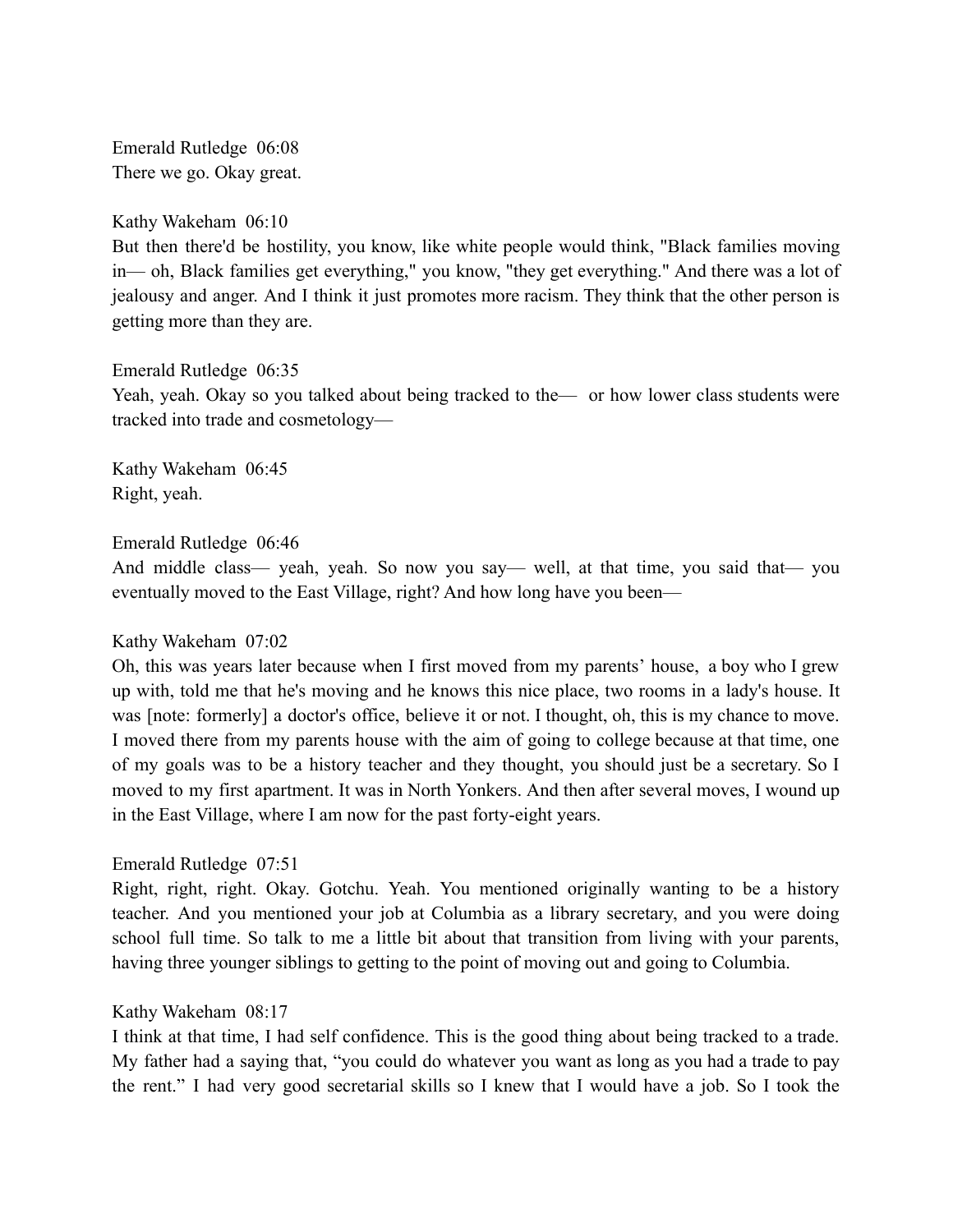Emerald Rutledge 06:08 There we go. Okay great.

Kathy Wakeham 06:10

But then there'd be hostility, you know, like white people would think, "Black families moving in— oh, Black families get everything," you know, "they get everything." And there was a lot of jealousy and anger. And I think it just promotes more racism. They think that the other person is getting more than they are.

Emerald Rutledge 06:35

Yeah, yeah. Okay so you talked about being tracked to the— or how lower class students were tracked into trade and cosmetology—

Kathy Wakeham 06:45 Right, yeah.

Emerald Rutledge 06:46

And middle class— yeah, yeah. So now you say— well, at that time, you said that— you eventually moved to the East Village, right? And how long have you been—

# Kathy Wakeham 07:02

Oh, this was years later because when I first moved from my parents' house, a boy who I grew up with, told me that he's moving and he knows this nice place, two rooms in a lady's house. It was [note: formerly] a doctor's office, believe it or not. I thought, oh, this is my chance to move. I moved there from my parents house with the aim of going to college because at that time, one of my goals was to be a history teacher and they thought, you should just be a secretary. So I moved to my first apartment. It was in North Yonkers. And then after several moves, I wound up in the East Village, where I am now for the past forty-eight years.

# Emerald Rutledge 07:51

Right, right, right. Okay. Gotchu. Yeah. You mentioned originally wanting to be a history teacher. And you mentioned your job at Columbia as a library secretary, and you were doing school full time. So talk to me a little bit about that transition from living with your parents, having three younger siblings to getting to the point of moving out and going to Columbia.

# Kathy Wakeham 08:17

I think at that time, I had self confidence. This is the good thing about being tracked to a trade. My father had a saying that, "you could do whatever you want as long as you had a trade to pay the rent." I had very good secretarial skills so I knew that I would have a job. So I took the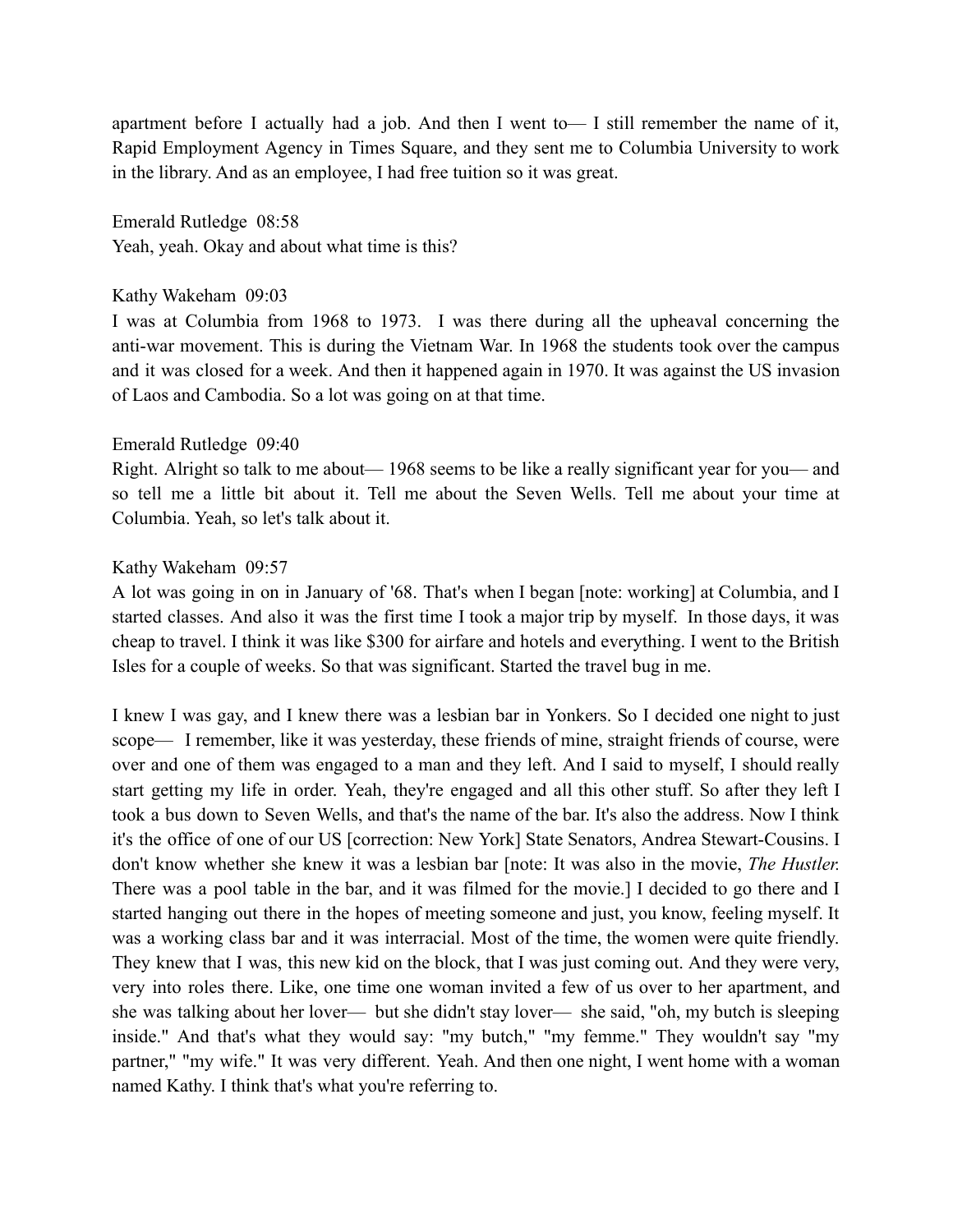apartment before I actually had a job. And then I went to  $\overline{a}$  I still remember the name of it, Rapid Employment Agency in Times Square, and they sent me to Columbia University to work in the library. And as an employee, I had free tuition so it was great.

Emerald Rutledge 08:58 Yeah, yeah. Okay and about what time is this?

### Kathy Wakeham 09:03

I was at Columbia from 1968 to 1973. I was there during all the upheaval concerning the anti-war movement. This is during the Vietnam War. In 1968 the students took over the campus and it was closed for a week. And then it happened again in 1970. It was against the US invasion of Laos and Cambodia. So a lot was going on at that time.

## Emerald Rutledge 09:40

Right. Alright so talk to me about— 1968 seems to be like a really significant year for you— and so tell me a little bit about it. Tell me about the Seven Wells. Tell me about your time at Columbia. Yeah, so let's talk about it.

# Kathy Wakeham 09:57

A lot was going in on in January of '68. That's when I began [note: working] at Columbia, and I started classes. And also it was the first time I took a major trip by myself. In those days, it was cheap to travel. I think it was like \$300 for airfare and hotels and everything. I went to the British Isles for a couple of weeks. So that was significant. Started the travel bug in me.

I knew I was gay, and I knew there was a lesbian bar in Yonkers. So I decided one night to just scope— I remember, like it was yesterday, these friends of mine, straight friends of course, were over and one of them was engaged to a man and they left. And I said to myself, I should really start getting my life in order. Yeah, they're engaged and all this other stuff. So after they left I took a bus down to Seven Wells, and that's the name of the bar. It's also the address. Now I think it's the office of one of our US [correction: New York] State Senators, Andrea Stewart-Cousins. I don't know whether she knew it was a lesbian bar [note: It was also in the movie, *The Hustler.* There was a pool table in the bar, and it was filmed for the movie.] I decided to go there and I started hanging out there in the hopes of meeting someone and just, you know, feeling myself. It was a working class bar and it was interracial. Most of the time, the women were quite friendly. They knew that I was, this new kid on the block, that I was just coming out. And they were very, very into roles there. Like, one time one woman invited a few of us over to her apartment, and she was talking about her lover— but she didn't stay lover— she said, "oh, my butch is sleeping inside." And that's what they would say: "my butch," "my femme." They wouldn't say "my partner," "my wife." It was very different. Yeah. And then one night, I went home with a woman named Kathy. I think that's what you're referring to.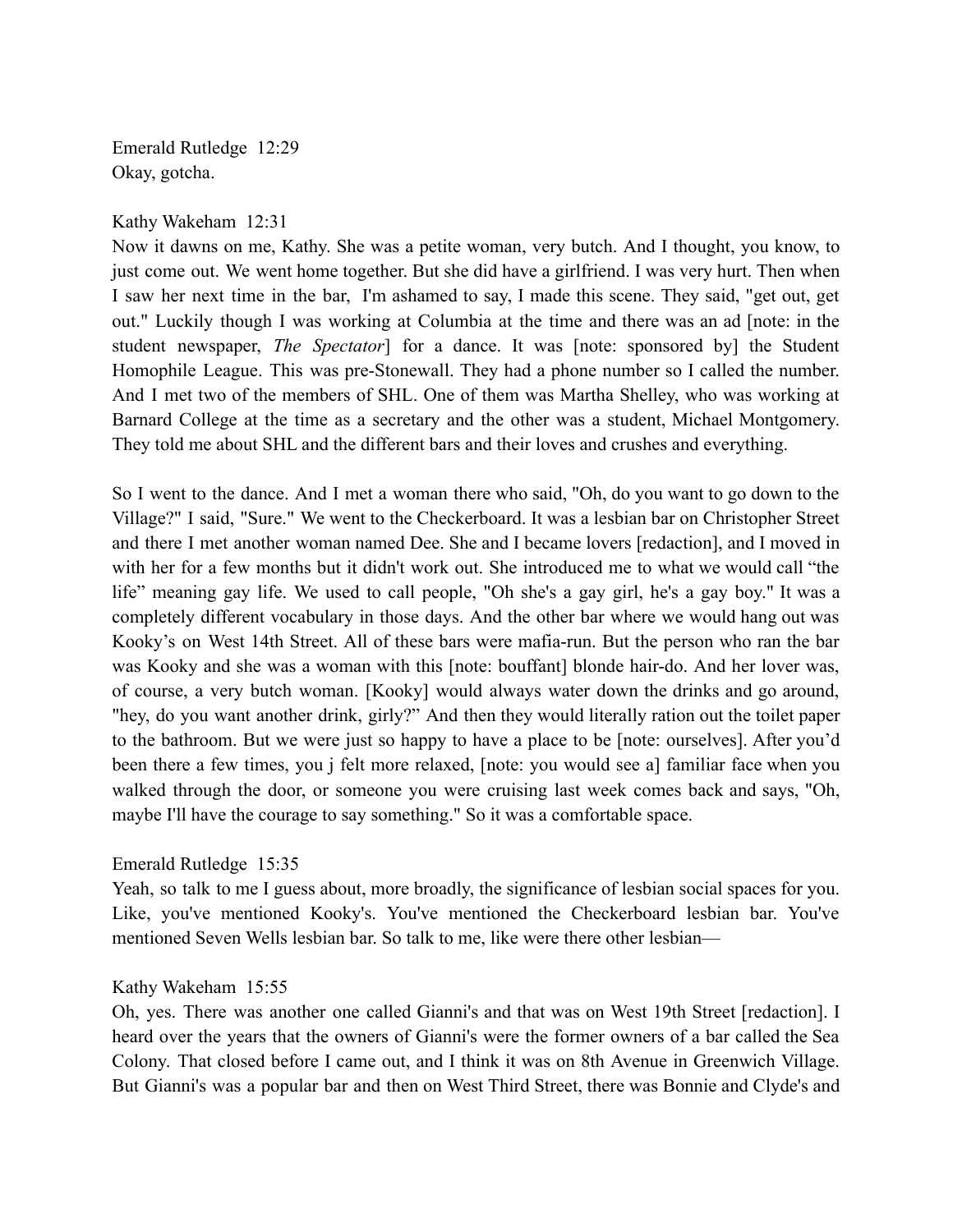Emerald Rutledge 12:29 Okay, gotcha.

## Kathy Wakeham 12:31

Now it dawns on me, Kathy. She was a petite woman, very butch. And I thought, you know, to just come out. We went home together. But she did have a girlfriend. I was very hurt. Then when I saw her next time in the bar, I'm ashamed to say, I made this scene. They said, "get out, get out." Luckily though I was working at Columbia at the time and there was an ad [note: in the student newspaper, *The Spectator*] for a dance. It was [note: sponsored by] the Student Homophile League. This was pre-Stonewall. They had a phone number so I called the number. And I met two of the members of SHL. One of them was Martha Shelley, who was working at Barnard College at the time as a secretary and the other was a student, Michael Montgomery. They told me about SHL and the different bars and their loves and crushes and everything.

So I went to the dance. And I met a woman there who said, "Oh, do you want to go down to the Village?" I said, "Sure." We went to the Checkerboard. It was a lesbian bar on Christopher Street and there I met another woman named Dee. She and I became lovers [redaction], and I moved in with her for a few months but it didn't work out. She introduced me to what we would call "the life" meaning gay life. We used to call people, "Oh she's a gay girl, he's a gay boy." It was a completely different vocabulary in those days. And the other bar where we would hang out was Kooky's on West 14th Street. All of these bars were mafia-run. But the person who ran the bar was Kooky and she was a woman with this [note: bouffant] blonde hair-do. And her lover was, of course, a very butch woman. [Kooky] would always water down the drinks and go around, "hey, do you want another drink, girly?" And then they would literally ration out the toilet paper to the bathroom. But we were just so happy to have a place to be [note: ourselves]. After you'd been there a few times, you j felt more relaxed, [note: you would see a] familiar face when you walked through the door, or someone you were cruising last week comes back and says, "Oh, maybe I'll have the courage to say something." So it was a comfortable space.

# Emerald Rutledge 15:35

Yeah, so talk to me I guess about, more broadly, the significance of lesbian social spaces for you. Like, you've mentioned Kooky's. You've mentioned the Checkerboard lesbian bar. You've mentioned Seven Wells lesbian bar. So talk to me, like were there other lesbian—

# Kathy Wakeham 15:55

Oh, yes. There was another one called Gianni's and that was on West 19th Street [redaction]. I heard over the years that the owners of Gianni's were the former owners of a bar called the Sea Colony. That closed before I came out, and I think it was on 8th Avenue in Greenwich Village. But Gianni's was a popular bar and then on West Third Street, there was Bonnie and Clyde's and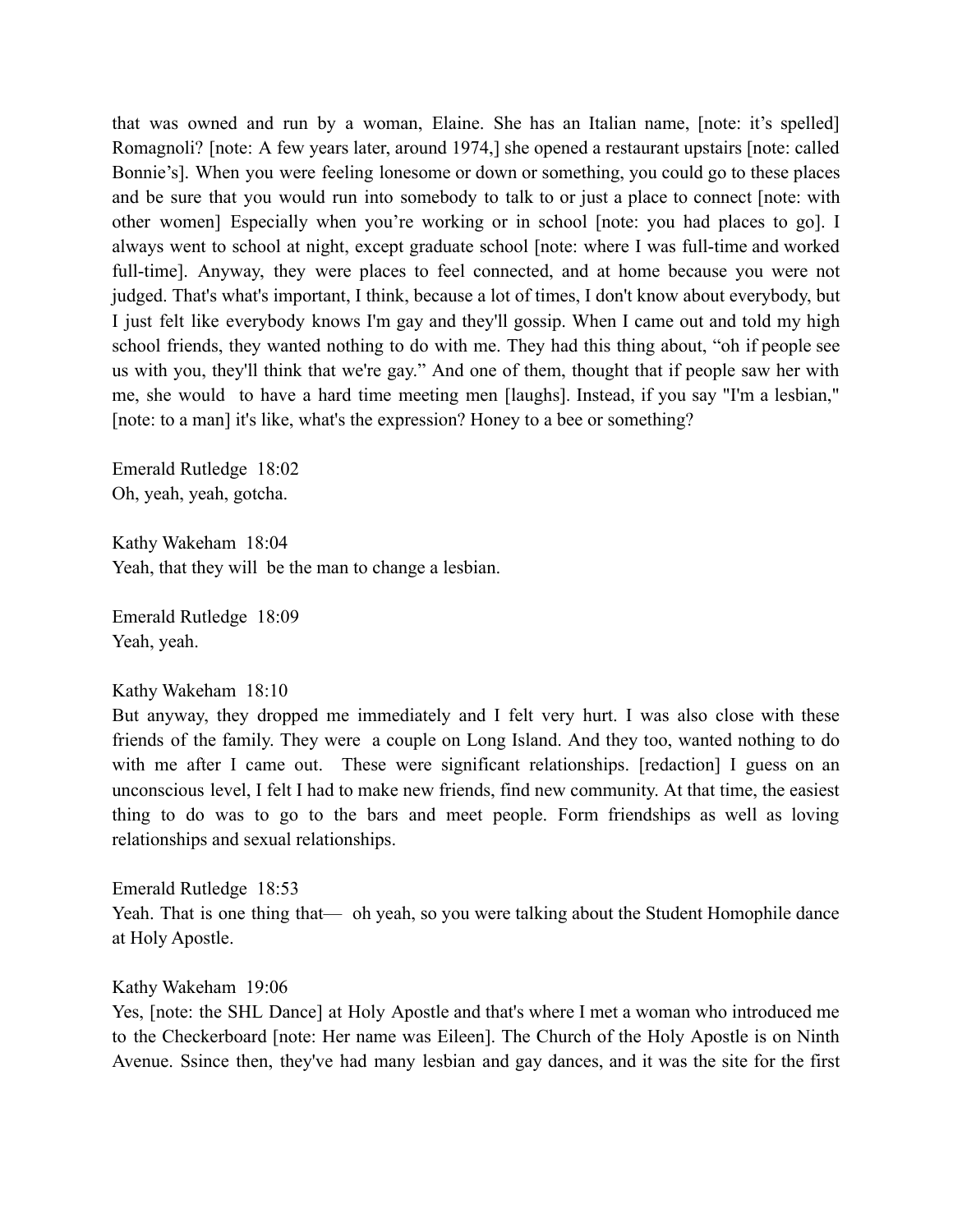that was owned and run by a woman, Elaine. She has an Italian name, [note: it's spelled] Romagnoli? [note: A few years later, around 1974,] she opened a restaurant upstairs [note: called Bonnie's]. When you were feeling lonesome or down or something, you could go to these places and be sure that you would run into somebody to talk to or just a place to connect [note: with other women] Especially when you're working or in school [note: you had places to go]. I always went to school at night, except graduate school [note: where I was full-time and worked full-time]. Anyway, they were places to feel connected, and at home because you were not judged. That's what's important, I think, because a lot of times, I don't know about everybody, but I just felt like everybody knows I'm gay and they'll gossip. When I came out and told my high school friends, they wanted nothing to do with me. They had this thing about, "oh if people see us with you, they'll think that we're gay." And one of them, thought that if people saw her with me, she would to have a hard time meeting men [laughs]. Instead, if you say "I'm a lesbian," [note: to a man] it's like, what's the expression? Honey to a bee or something?

Emerald Rutledge 18:02 Oh, yeah, yeah, gotcha.

Kathy Wakeham 18:04 Yeah, that they will be the man to change a lesbian.

Emerald Rutledge 18:09 Yeah, yeah.

#### Kathy Wakeham 18:10

But anyway, they dropped me immediately and I felt very hurt. I was also close with these friends of the family. They were a couple on Long Island. And they too, wanted nothing to do with me after I came out. These were significant relationships. [redaction] I guess on an unconscious level, I felt I had to make new friends, find new community. At that time, the easiest thing to do was to go to the bars and meet people. Form friendships as well as loving relationships and sexual relationships.

Emerald Rutledge 18:53 Yeah. That is one thing that— oh yeah, so you were talking about the Student Homophile dance at Holy Apostle.

### Kathy Wakeham 19:06

Yes, [note: the SHL Dance] at Holy Apostle and that's where I met a woman who introduced me to the Checkerboard [note: Her name was Eileen]. The Church of the Holy Apostle is on Ninth Avenue. Ssince then, they've had many lesbian and gay dances, and it was the site for the first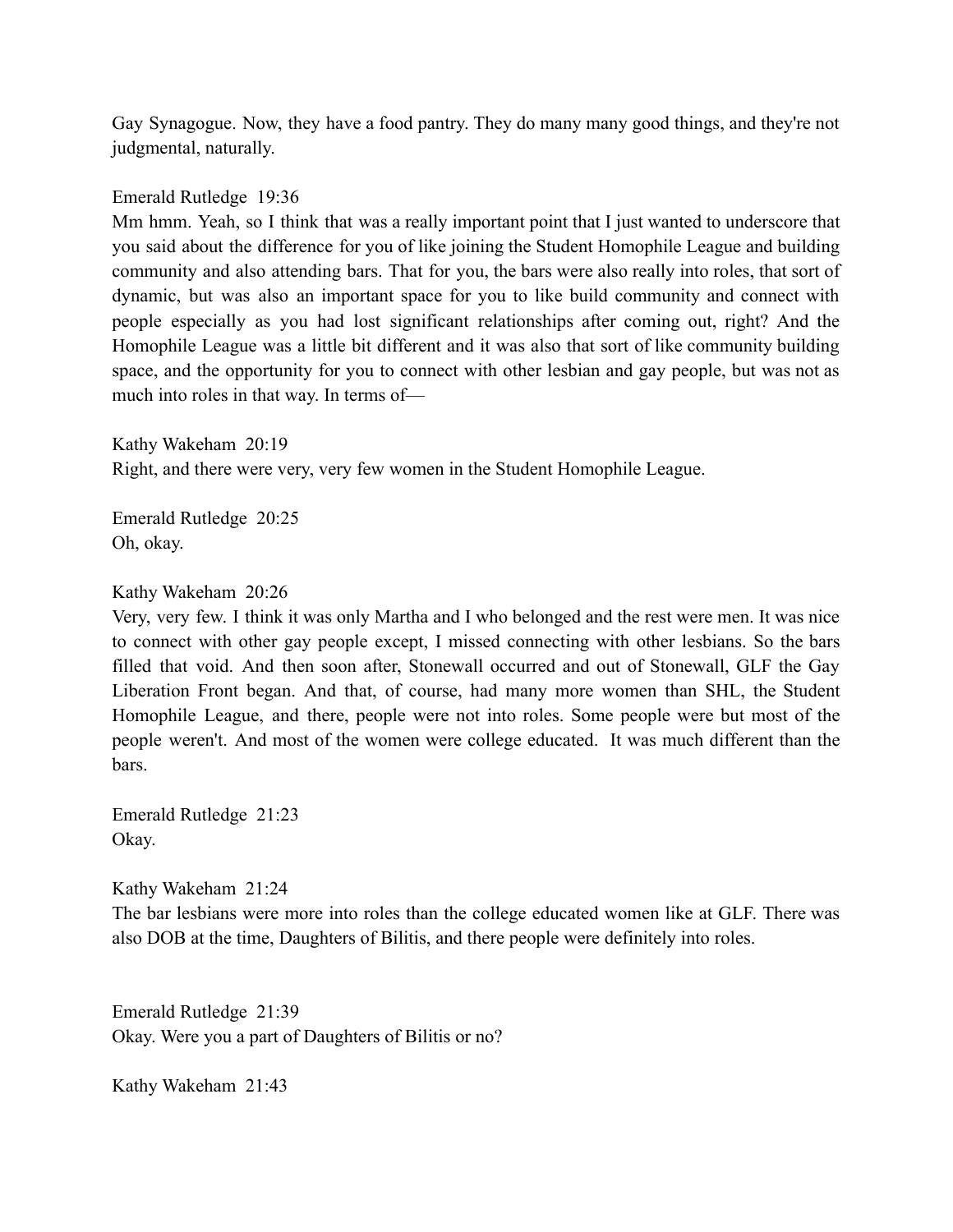Gay Synagogue. Now, they have a food pantry. They do many many good things, and they're not judgmental, naturally.

Emerald Rutledge 19:36

Mm hmm. Yeah, so I think that was a really important point that I just wanted to underscore that you said about the difference for you of like joining the Student Homophile League and building community and also attending bars. That for you, the bars were also really into roles, that sort of dynamic, but was also an important space for you to like build community and connect with people especially as you had lost significant relationships after coming out, right? And the Homophile League was a little bit different and it was also that sort of like community building space, and the opportunity for you to connect with other lesbian and gay people, but was not as much into roles in that way. In terms of—

Kathy Wakeham 20:19 Right, and there were very, very few women in the Student Homophile League.

Emerald Rutledge 20:25 Oh, okay.

Kathy Wakeham 20:26

Very, very few. I think it was only Martha and I who belonged and the rest were men. It was nice to connect with other gay people except, I missed connecting with other lesbians. So the bars filled that void. And then soon after, Stonewall occurred and out of Stonewall, GLF the Gay Liberation Front began. And that, of course, had many more women than SHL, the Student Homophile League, and there, people were not into roles. Some people were but most of the people weren't. And most of the women were college educated. It was much different than the bars.

Emerald Rutledge 21:23 Okay.

Kathy Wakeham 21:24 The bar lesbians were more into roles than the college educated women like at GLF. There was also DOB at the time, Daughters of Bilitis, and there people were definitely into roles.

Emerald Rutledge 21:39 Okay. Were you a part of Daughters of Bilitis or no?

Kathy Wakeham 21:43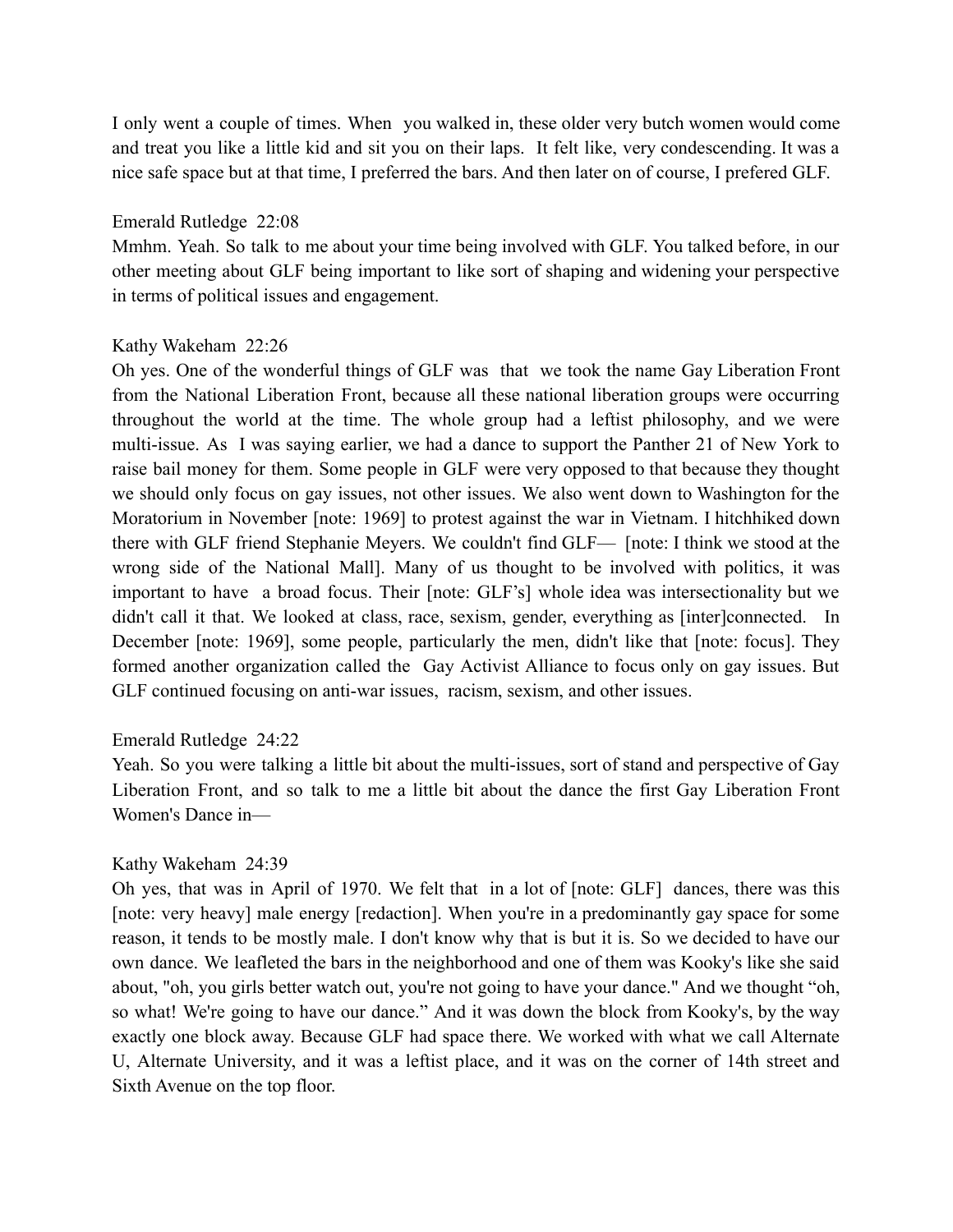I only went a couple of times. When you walked in, these older very butch women would come and treat you like a little kid and sit you on their laps. It felt like, very condescending. It was a nice safe space but at that time, I preferred the bars. And then later on of course, I prefered GLF.

### Emerald Rutledge 22:08

Mmhm. Yeah. So talk to me about your time being involved with GLF. You talked before, in our other meeting about GLF being important to like sort of shaping and widening your perspective in terms of political issues and engagement.

# Kathy Wakeham 22:26

Oh yes. One of the wonderful things of GLF was that we took the name Gay Liberation Front from the National Liberation Front, because all these national liberation groups were occurring throughout the world at the time. The whole group had a leftist philosophy, and we were multi-issue. As I was saying earlier, we had a dance to support the Panther 21 of New York to raise bail money for them. Some people in GLF were very opposed to that because they thought we should only focus on gay issues, not other issues. We also went down to Washington for the Moratorium in November [note: 1969] to protest against the war in Vietnam. I hitchhiked down there with GLF friend Stephanie Meyers. We couldn't find GLF— [note: I think we stood at the wrong side of the National Mall]. Many of us thought to be involved with politics, it was important to have a broad focus. Their [note: GLF's] whole idea was intersectionality but we didn't call it that. We looked at class, race, sexism, gender, everything as [inter]connected. In December [note: 1969], some people, particularly the men, didn't like that [note: focus]. They formed another organization called the Gay Activist Alliance to focus only on gay issues. But GLF continued focusing on anti-war issues, racism, sexism, and other issues.

# Emerald Rutledge 24:22

Yeah. So you were talking a little bit about the multi-issues, sort of stand and perspective of Gay Liberation Front, and so talk to me a little bit about the dance the first Gay Liberation Front Women's Dance in—

# Kathy Wakeham 24:39

Oh yes, that was in April of 1970. We felt that in a lot of [note: GLF] dances, there was this [note: very heavy] male energy [redaction]. When you're in a predominantly gay space for some reason, it tends to be mostly male. I don't know why that is but it is. So we decided to have our own dance. We leafleted the bars in the neighborhood and one of them was Kooky's like she said about, "oh, you girls better watch out, you're not going to have your dance." And we thought "oh, so what! We're going to have our dance." And it was down the block from Kooky's, by the way exactly one block away. Because GLF had space there. We worked with what we call Alternate U, Alternate University, and it was a leftist place, and it was on the corner of 14th street and Sixth Avenue on the top floor.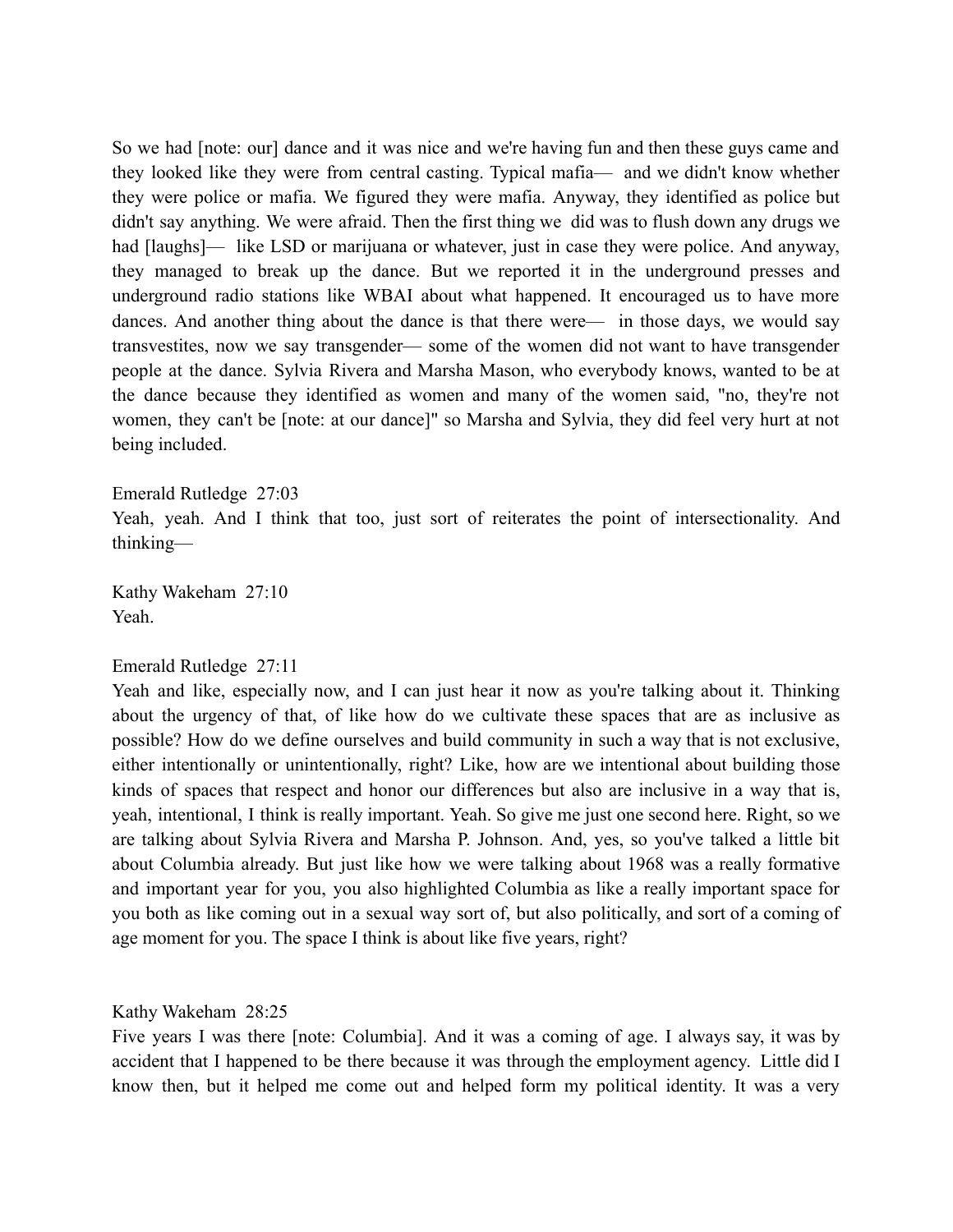So we had [note: our] dance and it was nice and we're having fun and then these guys came and they looked like they were from central casting. Typical mafia— and we didn't know whether they were police or mafia. We figured they were mafia. Anyway, they identified as police but didn't say anything. We were afraid. Then the first thing we did was to flush down any drugs we had [laughs]— like LSD or marijuana or whatever, just in case they were police. And anyway, they managed to break up the dance. But we reported it in the underground presses and underground radio stations like WBAI about what happened. It encouraged us to have more dances. And another thing about the dance is that there were— in those days, we would say transvestites, now we say transgender— some of the women did not want to have transgender people at the dance. Sylvia Rivera and Marsha Mason, who everybody knows, wanted to be at the dance because they identified as women and many of the women said, "no, they're not women, they can't be [note: at our dance]" so Marsha and Sylvia, they did feel very hurt at not being included.

Emerald Rutledge 27:03 Yeah, yeah. And I think that too, just sort of reiterates the point of intersectionality. And thinking—

Kathy Wakeham 27:10 Yeah.

### Emerald Rutledge 27:11

Yeah and like, especially now, and I can just hear it now as you're talking about it. Thinking about the urgency of that, of like how do we cultivate these spaces that are as inclusive as possible? How do we define ourselves and build community in such a way that is not exclusive, either intentionally or unintentionally, right? Like, how are we intentional about building those kinds of spaces that respect and honor our differences but also are inclusive in a way that is, yeah, intentional, I think is really important. Yeah. So give me just one second here. Right, so we are talking about Sylvia Rivera and Marsha P. Johnson. And, yes, so you've talked a little bit about Columbia already. But just like how we were talking about 1968 was a really formative and important year for you, you also highlighted Columbia as like a really important space for you both as like coming out in a sexual way sort of, but also politically, and sort of a coming of age moment for you. The space I think is about like five years, right?

Kathy Wakeham 28:25

Five years I was there [note: Columbia]. And it was a coming of age. I always say, it was by accident that I happened to be there because it was through the employment agency. Little did I know then, but it helped me come out and helped form my political identity. It was a very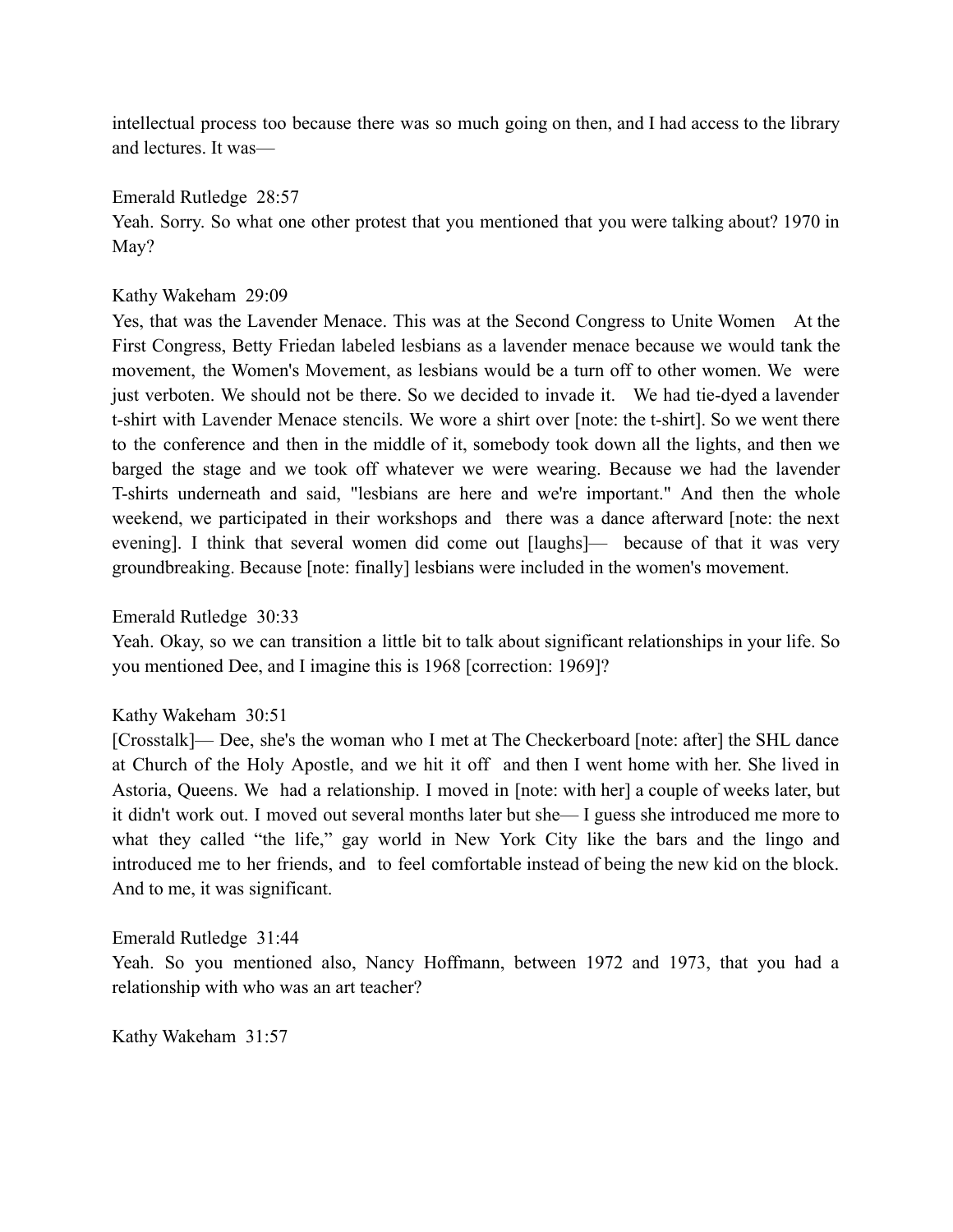intellectual process too because there was so much going on then, and I had access to the library and lectures. It was—

# Emerald Rutledge 28:57

Yeah. Sorry. So what one other protest that you mentioned that you were talking about? 1970 in May?

# Kathy Wakeham 29:09

Yes, that was the Lavender Menace. This was at the Second Congress to Unite Women At the First Congress, Betty Friedan labeled lesbians as a lavender menace because we would tank the movement, the Women's Movement, as lesbians would be a turn off to other women. We were just verboten. We should not be there. So we decided to invade it. We had tie-dyed a lavender t-shirt with Lavender Menace stencils. We wore a shirt over [note: the t-shirt]. So we went there to the conference and then in the middle of it, somebody took down all the lights, and then we barged the stage and we took off whatever we were wearing. Because we had the lavender T-shirts underneath and said, "lesbians are here and we're important." And then the whole weekend, we participated in their workshops and there was a dance afterward [note: the next evening]. I think that several women did come out [laughs]— because of that it was very groundbreaking. Because [note: finally] lesbians were included in the women's movement.

# Emerald Rutledge 30:33

Yeah. Okay, so we can transition a little bit to talk about significant relationships in your life. So you mentioned Dee, and I imagine this is 1968 [correction: 1969]?

# Kathy Wakeham 30:51

[Crosstalk]— Dee, she's the woman who I met at The Checkerboard [note: after] the SHL dance at Church of the Holy Apostle, and we hit it off and then I went home with her. She lived in Astoria, Queens. We had a relationship. I moved in [note: with her] a couple of weeks later, but it didn't work out. I moved out several months later but she— I guess she introduced me more to what they called "the life," gay world in New York City like the bars and the lingo and introduced me to her friends, and to feel comfortable instead of being the new kid on the block. And to me, it was significant.

# Emerald Rutledge 31:44

Yeah. So you mentioned also, Nancy Hoffmann, between 1972 and 1973, that you had a relationship with who was an art teacher?

Kathy Wakeham 31:57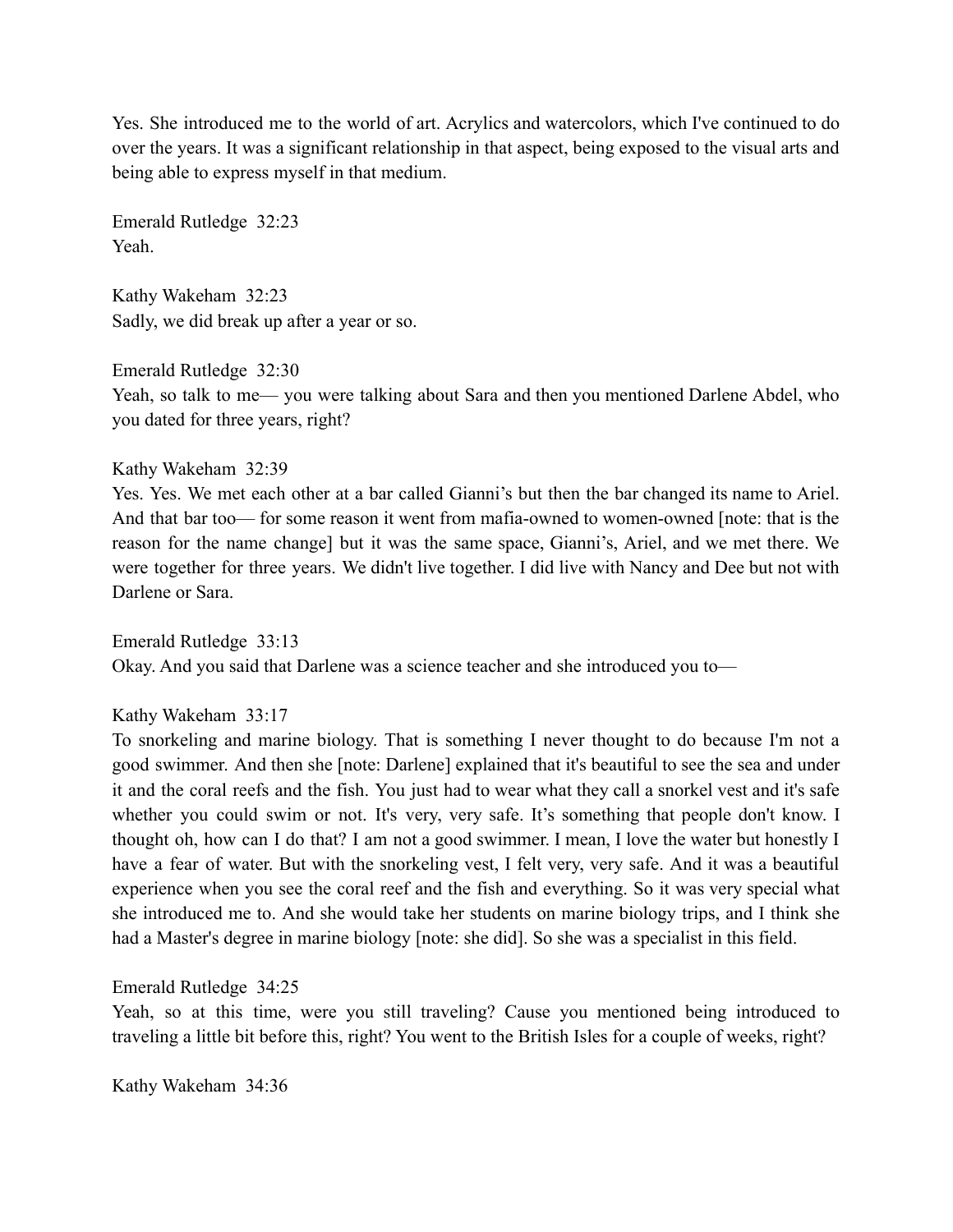Yes. She introduced me to the world of art. Acrylics and watercolors, which I've continued to do over the years. It was a significant relationship in that aspect, being exposed to the visual arts and being able to express myself in that medium.

Emerald Rutledge 32:23 Yeah.

Kathy Wakeham 32:23 Sadly, we did break up after a year or so.

Emerald Rutledge 32:30 Yeah, so talk to me— you were talking about Sara and then you mentioned Darlene Abdel, who you dated for three years, right?

Kathy Wakeham 32:39

Yes. Yes. We met each other at a bar called Gianni's but then the bar changed its name to Ariel. And that bar too— for some reason it went from mafia-owned to women-owned [note: that is the reason for the name change] but it was the same space, Gianni's, Ariel, and we met there. We were together for three years. We didn't live together. I did live with Nancy and Dee but not with Darlene or Sara.

Emerald Rutledge 33:13 Okay. And you said that Darlene was a science teacher and she introduced you to—

# Kathy Wakeham 33:17

To snorkeling and marine biology. That is something I never thought to do because I'm not a good swimmer. And then she [note: Darlene] explained that it's beautiful to see the sea and under it and the coral reefs and the fish. You just had to wear what they call a snorkel vest and it's safe whether you could swim or not. It's very, very safe. It's something that people don't know. I thought oh, how can I do that? I am not a good swimmer. I mean, I love the water but honestly I have a fear of water. But with the snorkeling vest, I felt very, very safe. And it was a beautiful experience when you see the coral reef and the fish and everything. So it was very special what she introduced me to. And she would take her students on marine biology trips, and I think she had a Master's degree in marine biology [note: she did]. So she was a specialist in this field.

Emerald Rutledge 34:25

Yeah, so at this time, were you still traveling? Cause you mentioned being introduced to traveling a little bit before this, right? You went to the British Isles for a couple of weeks, right?

Kathy Wakeham 34:36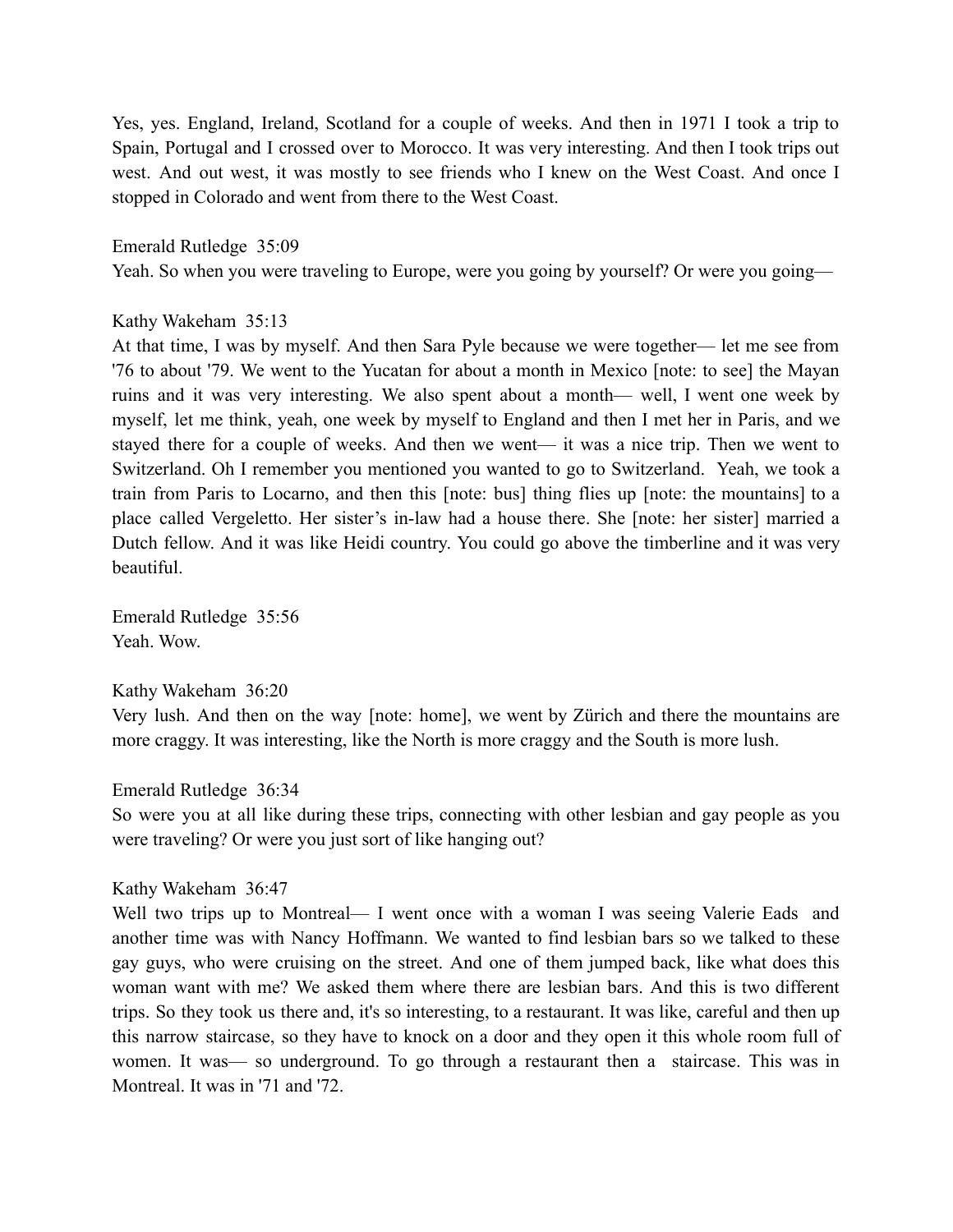Yes, yes. England, Ireland, Scotland for a couple of weeks. And then in 1971 I took a trip to Spain, Portugal and I crossed over to Morocco. It was very interesting. And then I took trips out west. And out west, it was mostly to see friends who I knew on the West Coast. And once I stopped in Colorado and went from there to the West Coast.

## Emerald Rutledge 35:09

Yeah. So when you were traveling to Europe, were you going by yourself? Or were you going—

## Kathy Wakeham 35:13

At that time, I was by myself. And then Sara Pyle because we were together— let me see from '76 to about '79. We went to the Yucatan for about a month in Mexico [note: to see] the Mayan ruins and it was very interesting. We also spent about a month— well, I went one week by myself, let me think, yeah, one week by myself to England and then I met her in Paris, and we stayed there for a couple of weeks. And then we went— it was a nice trip. Then we went to Switzerland. Oh I remember you mentioned you wanted to go to Switzerland. Yeah, we took a train from Paris to Locarno, and then this [note: bus] thing flies up [note: the mountains] to a place called Vergeletto. Her sister's in-law had a house there. She [note: her sister] married a Dutch fellow. And it was like Heidi country. You could go above the timberline and it was very beautiful.

Emerald Rutledge 35:56 Yeah. Wow.

### Kathy Wakeham 36:20

Very lush. And then on the way [note: home], we went by Zürich and there the mountains are more craggy. It was interesting, like the North is more craggy and the South is more lush.

# Emerald Rutledge 36:34

So were you at all like during these trips, connecting with other lesbian and gay people as you were traveling? Or were you just sort of like hanging out?

### Kathy Wakeham 36:47

Well two trips up to Montreal— I went once with a woman I was seeing Valerie Eads and another time was with Nancy Hoffmann. We wanted to find lesbian bars so we talked to these gay guys, who were cruising on the street. And one of them jumped back, like what does this woman want with me? We asked them where there are lesbian bars. And this is two different trips. So they took us there and, it's so interesting, to a restaurant. It was like, careful and then up this narrow staircase, so they have to knock on a door and they open it this whole room full of women. It was— so underground. To go through a restaurant then a staircase. This was in Montreal. It was in '71 and '72.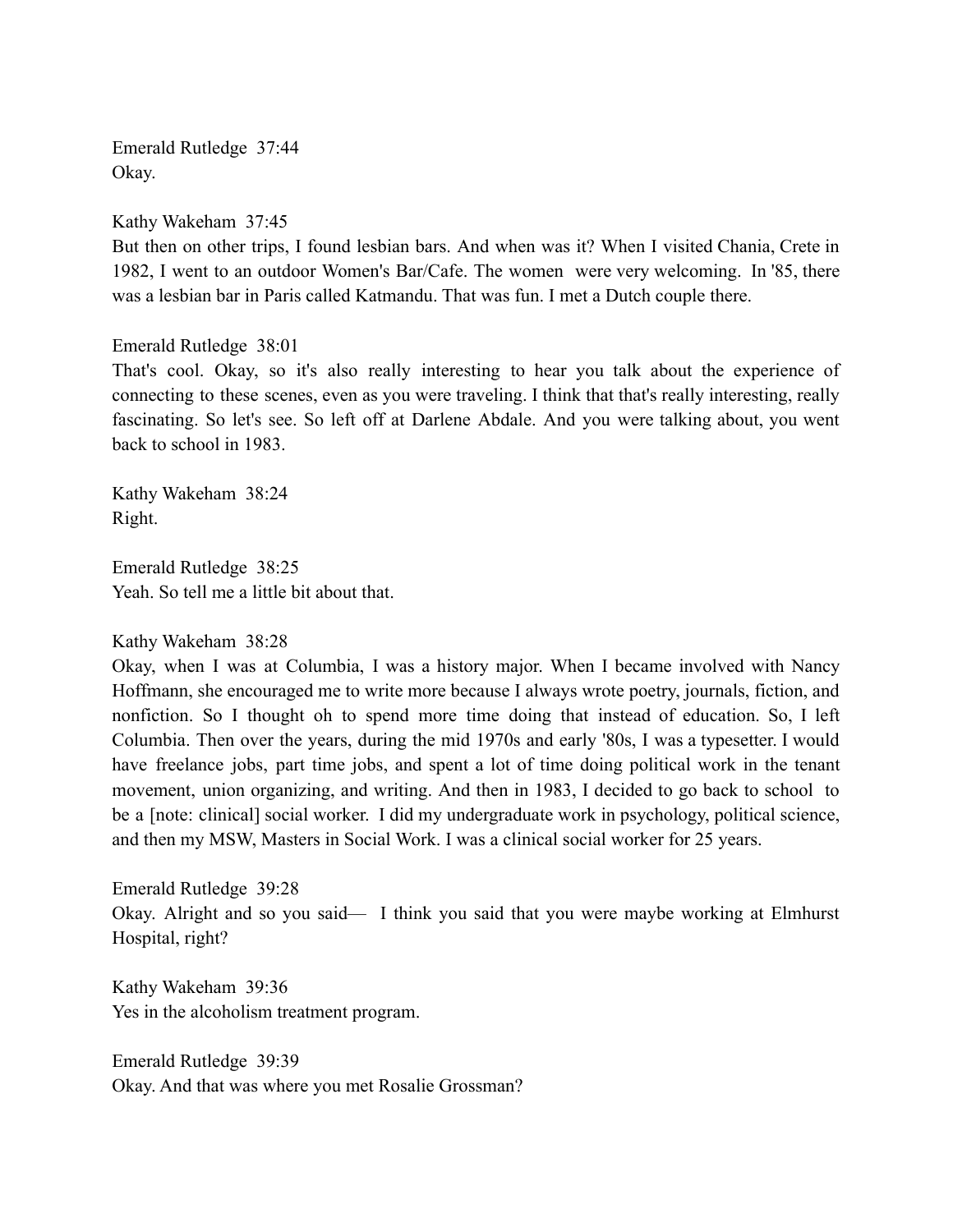Emerald Rutledge 37:44 Okay.

Kathy Wakeham 37:45 But then on other trips, I found lesbian bars. And when was it? When I visited Chania, Crete in 1982, I went to an outdoor Women's Bar/Cafe. The women were very welcoming. In '85, there was a lesbian bar in Paris called Katmandu. That was fun. I met a Dutch couple there.

Emerald Rutledge 38:01

That's cool. Okay, so it's also really interesting to hear you talk about the experience of connecting to these scenes, even as you were traveling. I think that that's really interesting, really fascinating. So let's see. So left off at Darlene Abdale. And you were talking about, you went back to school in 1983.

Kathy Wakeham 38:24 Right.

Emerald Rutledge 38:25 Yeah. So tell me a little bit about that.

Kathy Wakeham 38:28

Okay, when I was at Columbia, I was a history major. When I became involved with Nancy Hoffmann, she encouraged me to write more because I always wrote poetry, journals, fiction, and nonfiction. So I thought oh to spend more time doing that instead of education. So, I left Columbia. Then over the years, during the mid 1970s and early '80s, I was a typesetter. I would have freelance jobs, part time jobs, and spent a lot of time doing political work in the tenant movement, union organizing, and writing. And then in 1983, I decided to go back to school to be a [note: clinical] social worker. I did my undergraduate work in psychology, political science, and then my MSW, Masters in Social Work. I was a clinical social worker for 25 years.

Emerald Rutledge 39:28 Okay. Alright and so you said— I think you said that you were maybe working at Elmhurst Hospital, right?

Kathy Wakeham 39:36 Yes in the alcoholism treatment program.

Emerald Rutledge 39:39 Okay. And that was where you met Rosalie Grossman?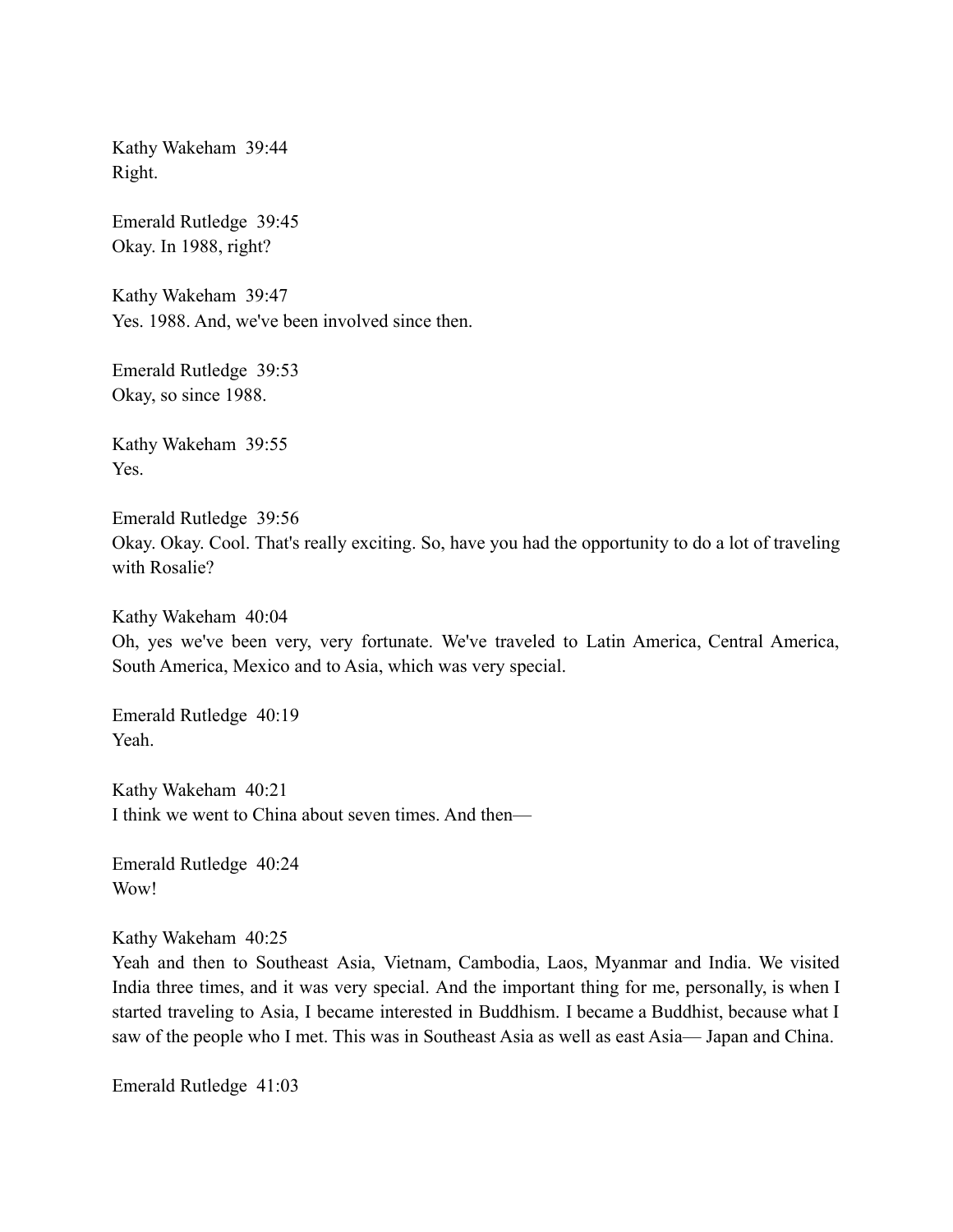Kathy Wakeham 39:44 Right.

Emerald Rutledge 39:45 Okay. In 1988, right?

Kathy Wakeham 39:47 Yes. 1988. And, we've been involved since then.

Emerald Rutledge 39:53 Okay, so since 1988.

Kathy Wakeham 39:55 Yes.

Emerald Rutledge 39:56 Okay. Okay. Cool. That's really exciting. So, have you had the opportunity to do a lot of traveling with Rosalie?

Kathy Wakeham 40:04 Oh, yes we've been very, very fortunate. We've traveled to Latin America, Central America, South America, Mexico and to Asia, which was very special.

Emerald Rutledge 40:19 Yeah.

Kathy Wakeham 40:21 I think we went to China about seven times. And then—

Emerald Rutledge 40:24 Wow!

Kathy Wakeham 40:25

Yeah and then to Southeast Asia, Vietnam, Cambodia, Laos, Myanmar and India. We visited India three times, and it was very special. And the important thing for me, personally, is when I started traveling to Asia, I became interested in Buddhism. I became a Buddhist, because what I saw of the people who I met. This was in Southeast Asia as well as east Asia— Japan and China.

Emerald Rutledge 41:03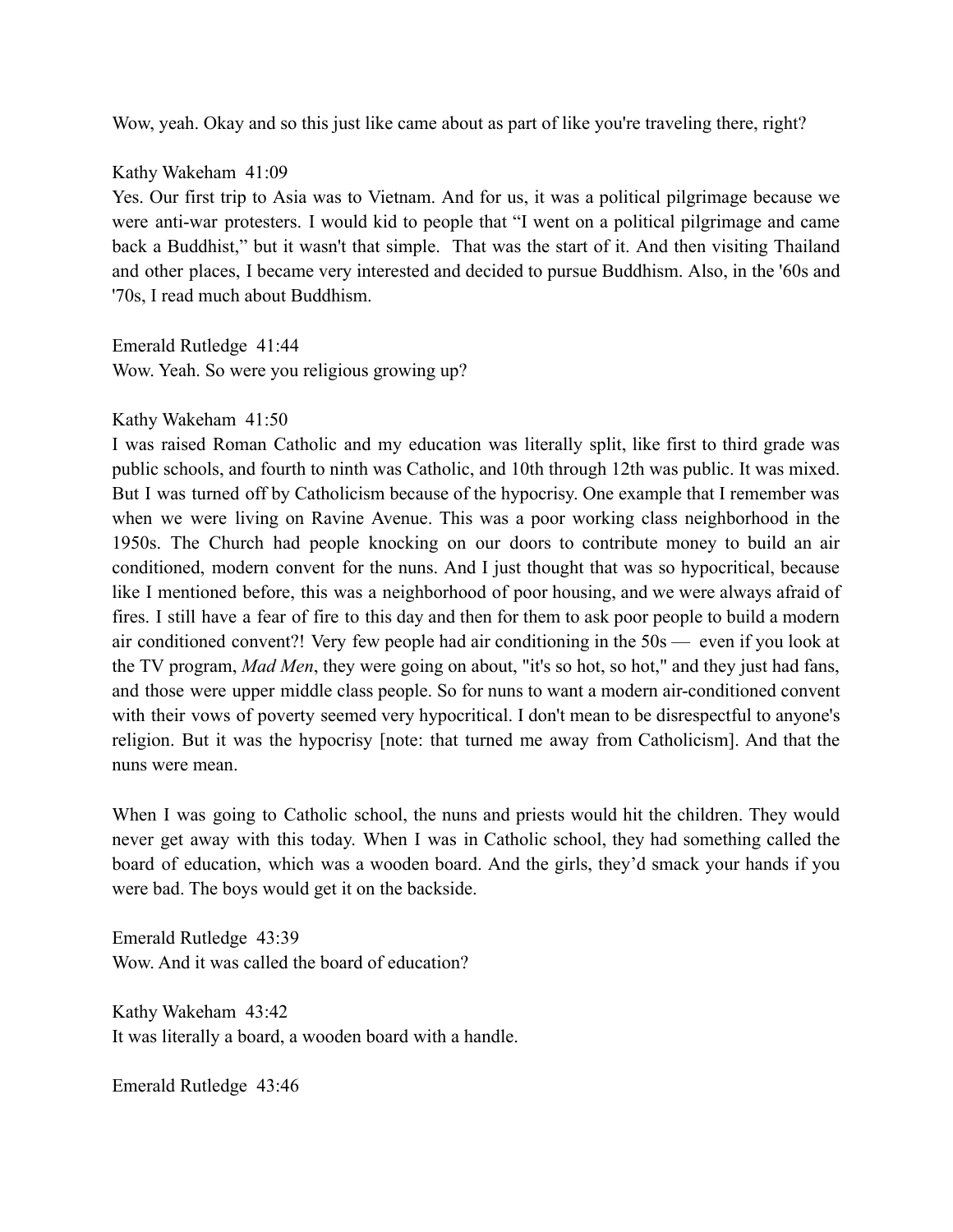Wow, yeah. Okay and so this just like came about as part of like you're traveling there, right?

# Kathy Wakeham 41:09

Yes. Our first trip to Asia was to Vietnam. And for us, it was a political pilgrimage because we were anti-war protesters. I would kid to people that "I went on a political pilgrimage and came back a Buddhist," but it wasn't that simple. That was the start of it. And then visiting Thailand and other places, I became very interested and decided to pursue Buddhism. Also, in the '60s and '70s, I read much about Buddhism.

Emerald Rutledge 41:44 Wow. Yeah. So were you religious growing up?

Kathy Wakeham 41:50

I was raised Roman Catholic and my education was literally split, like first to third grade was public schools, and fourth to ninth was Catholic, and 10th through 12th was public. It was mixed. But I was turned off by Catholicism because of the hypocrisy. One example that I remember was when we were living on Ravine Avenue. This was a poor working class neighborhood in the 1950s. The Church had people knocking on our doors to contribute money to build an air conditioned, modern convent for the nuns. And I just thought that was so hypocritical, because like I mentioned before, this was a neighborhood of poor housing, and we were always afraid of fires. I still have a fear of fire to this day and then for them to ask poor people to build a modern air conditioned convent?! Very few people had air conditioning in the 50s — even if you look at the TV program, *Mad Men*, they were going on about, "it's so hot, so hot," and they just had fans, and those were upper middle class people. So for nuns to want a modern air-conditioned convent with their vows of poverty seemed very hypocritical. I don't mean to be disrespectful to anyone's religion. But it was the hypocrisy [note: that turned me away from Catholicism]. And that the nuns were mean.

When I was going to Catholic school, the nuns and priests would hit the children. They would never get away with this today. When I was in Catholic school, they had something called the board of education, which was a wooden board. And the girls, they'd smack your hands if you were bad. The boys would get it on the backside.

Emerald Rutledge 43:39 Wow. And it was called the board of education?

Kathy Wakeham 43:42 It was literally a board, a wooden board with a handle.

Emerald Rutledge 43:46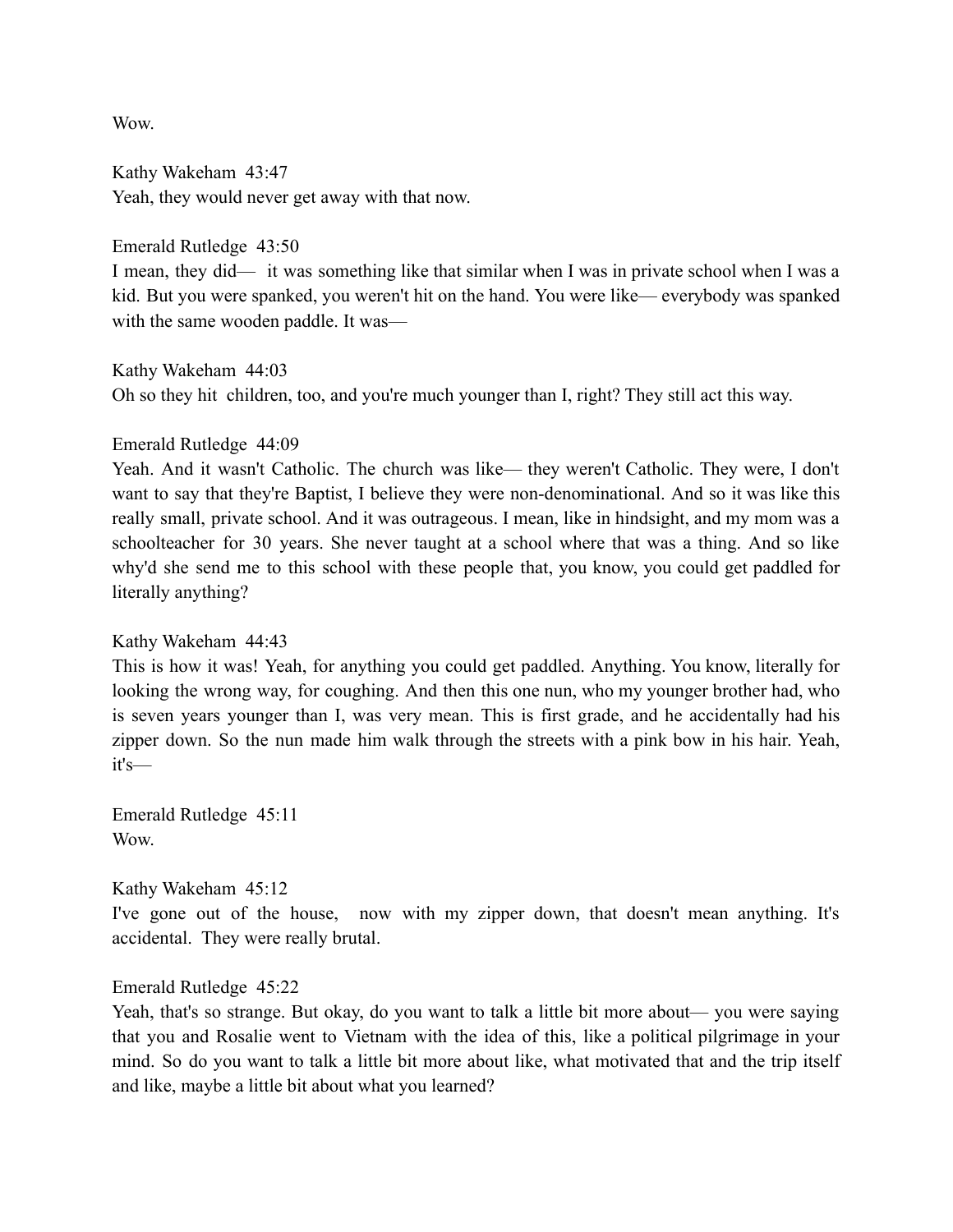**Wow** 

Kathy Wakeham 43:47 Yeah, they would never get away with that now.

Emerald Rutledge 43:50

I mean, they did— it was something like that similar when I was in private school when I was a kid. But you were spanked, you weren't hit on the hand. You were like— everybody was spanked with the same wooden paddle. It was—

Kathy Wakeham 44:03

Oh so they hit children, too, and you're much younger than I, right? They still act this way.

Emerald Rutledge 44:09

Yeah. And it wasn't Catholic. The church was like— they weren't Catholic. They were, I don't want to say that they're Baptist, I believe they were non-denominational. And so it was like this really small, private school. And it was outrageous. I mean, like in hindsight, and my mom was a schoolteacher for 30 years. She never taught at a school where that was a thing. And so like why'd she send me to this school with these people that, you know, you could get paddled for literally anything?

Kathy Wakeham 44:43

This is how it was! Yeah, for anything you could get paddled. Anything. You know, literally for looking the wrong way, for coughing. And then this one nun, who my younger brother had, who is seven years younger than I, was very mean. This is first grade, and he accidentally had his zipper down. So the nun made him walk through the streets with a pink bow in his hair. Yeah, it's—

Emerald Rutledge 45:11 Wow.

Kathy Wakeham 45:12

I've gone out of the house, now with my zipper down, that doesn't mean anything. It's accidental. They were really brutal.

# Emerald Rutledge 45:22

Yeah, that's so strange. But okay, do you want to talk a little bit more about— you were saying that you and Rosalie went to Vietnam with the idea of this, like a political pilgrimage in your mind. So do you want to talk a little bit more about like, what motivated that and the trip itself and like, maybe a little bit about what you learned?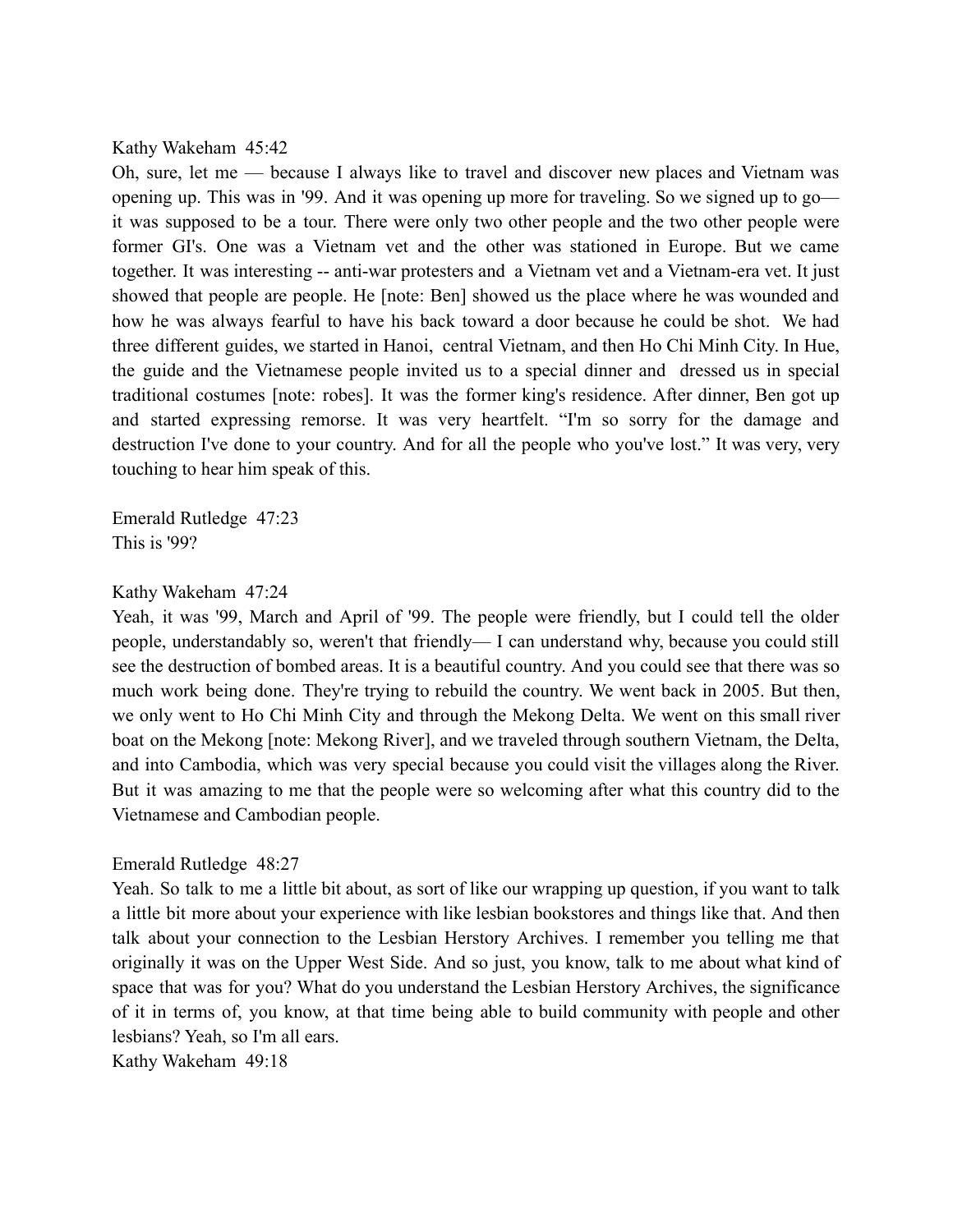#### Kathy Wakeham 45:42

Oh, sure, let me — because I always like to travel and discover new places and Vietnam was opening up. This was in '99. And it was opening up more for traveling. So we signed up to go it was supposed to be a tour. There were only two other people and the two other people were former GI's. One was a Vietnam vet and the other was stationed in Europe. But we came together. It was interesting -- anti-war protesters and a Vietnam vet and a Vietnam-era vet. It just showed that people are people. He [note: Ben] showed us the place where he was wounded and how he was always fearful to have his back toward a door because he could be shot. We had three different guides, we started in Hanoi, central Vietnam, and then Ho Chi Minh City. In Hue, the guide and the Vietnamese people invited us to a special dinner and dressed us in special traditional costumes [note: robes]. It was the former king's residence. After dinner, Ben got up and started expressing remorse. It was very heartfelt. "I'm so sorry for the damage and destruction I've done to your country. And for all the people who you've lost." It was very, very touching to hear him speak of this.

Emerald Rutledge 47:23 This is '99?

#### Kathy Wakeham 47:24

Yeah, it was '99, March and April of '99. The people were friendly, but I could tell the older people, understandably so, weren't that friendly— I can understand why, because you could still see the destruction of bombed areas. It is a beautiful country. And you could see that there was so much work being done. They're trying to rebuild the country. We went back in 2005. But then, we only went to Ho Chi Minh City and through the Mekong Delta. We went on this small river boat on the Mekong [note: Mekong River], and we traveled through southern Vietnam, the Delta, and into Cambodia, which was very special because you could visit the villages along the River. But it was amazing to me that the people were so welcoming after what this country did to the Vietnamese and Cambodian people.

#### Emerald Rutledge 48:27

Yeah. So talk to me a little bit about, as sort of like our wrapping up question, if you want to talk a little bit more about your experience with like lesbian bookstores and things like that. And then talk about your connection to the Lesbian Herstory Archives. I remember you telling me that originally it was on the Upper West Side. And so just, you know, talk to me about what kind of space that was for you? What do you understand the Lesbian Herstory Archives, the significance of it in terms of, you know, at that time being able to build community with people and other lesbians? Yeah, so I'm all ears.

Kathy Wakeham 49:18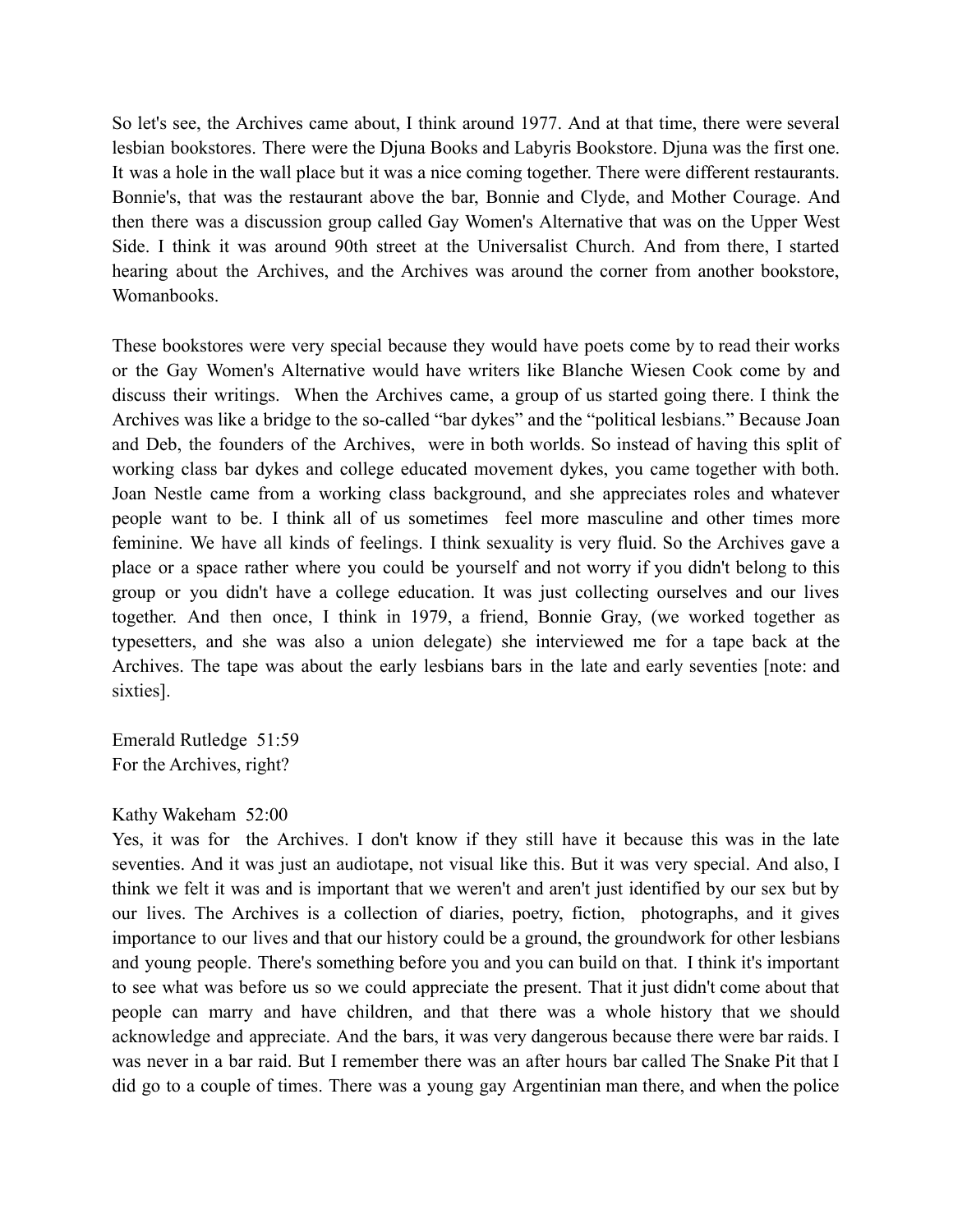So let's see, the Archives came about, I think around 1977. And at that time, there were several lesbian bookstores. There were the Djuna Books and Labyris Bookstore. Djuna was the first one. It was a hole in the wall place but it was a nice coming together. There were different restaurants. Bonnie's, that was the restaurant above the bar, Bonnie and Clyde, and Mother Courage. And then there was a discussion group called Gay Women's Alternative that was on the Upper West Side. I think it was around 90th street at the Universalist Church. And from there, I started hearing about the Archives, and the Archives was around the corner from another bookstore, **Womanbooks** 

These bookstores were very special because they would have poets come by to read their works or the Gay Women's Alternative would have writers like Blanche Wiesen Cook come by and discuss their writings. When the Archives came, a group of us started going there. I think the Archives was like a bridge to the so-called "bar dykes" and the "political lesbians." Because Joan and Deb, the founders of the Archives, were in both worlds. So instead of having this split of working class bar dykes and college educated movement dykes, you came together with both. Joan Nestle came from a working class background, and she appreciates roles and whatever people want to be. I think all of us sometimes feel more masculine and other times more feminine. We have all kinds of feelings. I think sexuality is very fluid. So the Archives gave a place or a space rather where you could be yourself and not worry if you didn't belong to this group or you didn't have a college education. It was just collecting ourselves and our lives together. And then once, I think in 1979, a friend, Bonnie Gray, (we worked together as typesetters, and she was also a union delegate) she interviewed me for a tape back at the Archives. The tape was about the early lesbians bars in the late and early seventies [note: and sixties].

Emerald Rutledge 51:59 For the Archives, right?

# Kathy Wakeham 52:00

Yes, it was for the Archives. I don't know if they still have it because this was in the late seventies. And it was just an audiotape, not visual like this. But it was very special. And also, I think we felt it was and is important that we weren't and aren't just identified by our sex but by our lives. The Archives is a collection of diaries, poetry, fiction, photographs, and it gives importance to our lives and that our history could be a ground, the groundwork for other lesbians and young people. There's something before you and you can build on that. I think it's important to see what was before us so we could appreciate the present. That it just didn't come about that people can marry and have children, and that there was a whole history that we should acknowledge and appreciate. And the bars, it was very dangerous because there were bar raids. I was never in a bar raid. But I remember there was an after hours bar called The Snake Pit that I did go to a couple of times. There was a young gay Argentinian man there, and when the police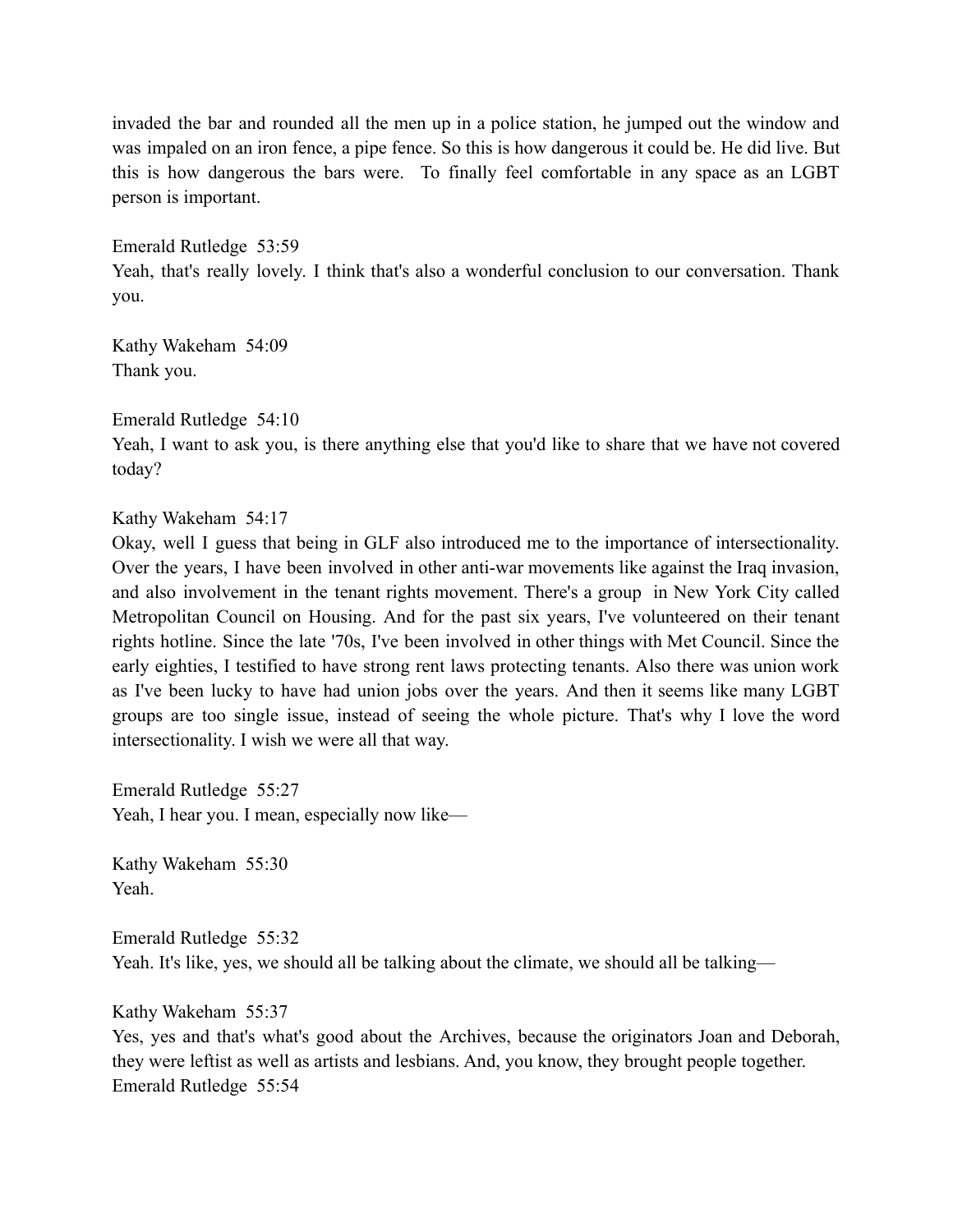invaded the bar and rounded all the men up in a police station, he jumped out the window and was impaled on an iron fence, a pipe fence. So this is how dangerous it could be. He did live. But this is how dangerous the bars were. To finally feel comfortable in any space as an LGBT person is important.

Emerald Rutledge 53:59 Yeah, that's really lovely. I think that's also a wonderful conclusion to our conversation. Thank you.

Kathy Wakeham 54:09 Thank you.

Emerald Rutledge 54:10

Yeah, I want to ask you, is there anything else that you'd like to share that we have not covered today?

Kathy Wakeham 54:17

Okay, well I guess that being in GLF also introduced me to the importance of intersectionality. Over the years, I have been involved in other anti-war movements like against the Iraq invasion, and also involvement in the tenant rights movement. There's a group in New York City called Metropolitan Council on Housing. And for the past six years, I've volunteered on their tenant rights hotline. Since the late '70s, I've been involved in other things with Met Council. Since the early eighties, I testified to have strong rent laws protecting tenants. Also there was union work as I've been lucky to have had union jobs over the years. And then it seems like many LGBT groups are too single issue, instead of seeing the whole picture. That's why I love the word intersectionality. I wish we were all that way.

Emerald Rutledge 55:27 Yeah, I hear you. I mean, especially now like—

Kathy Wakeham 55:30 Yeah.

Emerald Rutledge 55:32 Yeah. It's like, yes, we should all be talking about the climate, we should all be talking—

Kathy Wakeham 55:37

Yes, yes and that's what's good about the Archives, because the originators Joan and Deborah, they were leftist as well as artists and lesbians. And, you know, they brought people together. Emerald Rutledge 55:54